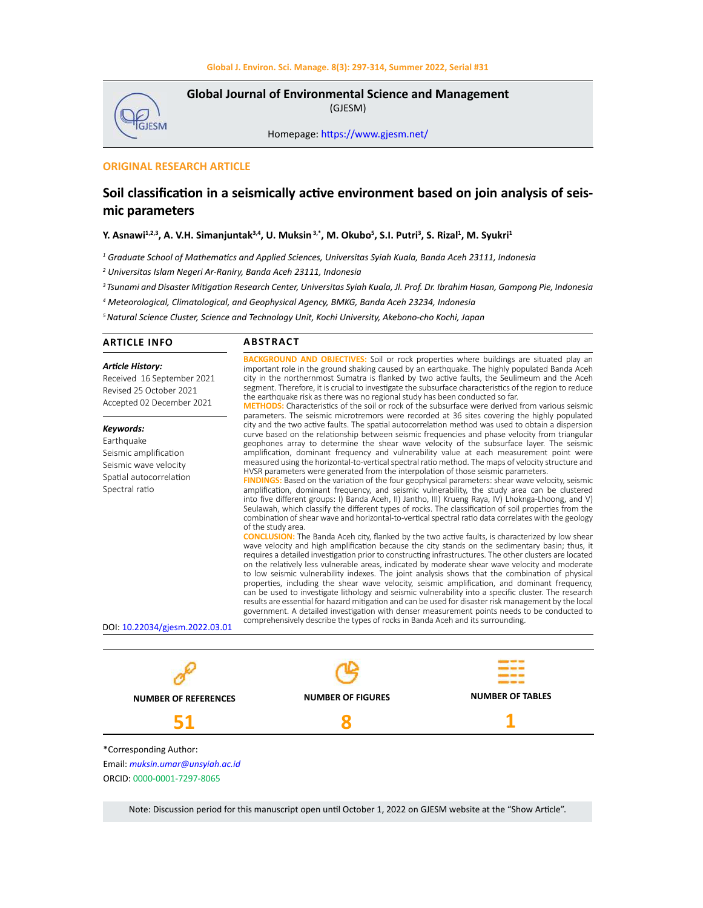

**Global Journal of Environmental Science and Management**  (GJESM)

Homepage: [https://www.gjesm.net/](https://www.gjesm.net/ )

## **ORIGINAL RESEARCH ARTICLE**

## **Soil classification in a seismically active environment based on join analysis of seismic parameters**

## **Y. Asnawi1,2,3, A. V.H. Simanjuntak3,4, U. Muksin 3,\*, M. Okubo<sup>5</sup> , S.I. Putri3 , S. Rizal1 , M. Syukri<sup>1</sup>**

*1 Graduate School of Mathematics and Applied Sciences, Universitas Syiah Kuala, Banda Aceh 23111, Indonesia*

*2 Universitas Islam Negeri Ar-Raniry, Banda Aceh 23111, Indonesia*

*3 Tsunami and Disaster Mitigation Research Center, Universitas Syiah Kuala, Jl. Prof. Dr. Ibrahim Hasan, Gampong Pie, Indonesia*

*4 Meteorological, Climatological, and Geophysical Agency, BMKG, Banda Aceh 23234, Indonesia*

*<sup>5</sup>Natural Science Cluster, Science and Technology Unit, Kochi University, Akebono-cho Kochi, Japan*

| <b>ARTICLE INFO</b>                                                                                                                                      | <b>ABSTRACT</b>                                                                                                                                                                                                                                                                                                                                                                                                                                                                                                                                                                                                                                                                                                                                                                                                                                                                                                                                                                                                                                                                                                                                                                                                                                                                                                                                                                                                                                                                                                                                                                                                                                                                                                                                                                                                                                                                                                                                                                                                                                                                                                                                                                   |                         |  |  |  |
|----------------------------------------------------------------------------------------------------------------------------------------------------------|-----------------------------------------------------------------------------------------------------------------------------------------------------------------------------------------------------------------------------------------------------------------------------------------------------------------------------------------------------------------------------------------------------------------------------------------------------------------------------------------------------------------------------------------------------------------------------------------------------------------------------------------------------------------------------------------------------------------------------------------------------------------------------------------------------------------------------------------------------------------------------------------------------------------------------------------------------------------------------------------------------------------------------------------------------------------------------------------------------------------------------------------------------------------------------------------------------------------------------------------------------------------------------------------------------------------------------------------------------------------------------------------------------------------------------------------------------------------------------------------------------------------------------------------------------------------------------------------------------------------------------------------------------------------------------------------------------------------------------------------------------------------------------------------------------------------------------------------------------------------------------------------------------------------------------------------------------------------------------------------------------------------------------------------------------------------------------------------------------------------------------------------------------------------------------------|-------------------------|--|--|--|
| <b>Article History:</b><br>Received 16 September 2021<br>Revised 25 October 2021<br>Accepted 02 December 2021                                            | <b>BACKGROUND AND OBJECTIVES:</b> Soil or rock properties where buildings are situated play an<br>important role in the ground shaking caused by an earthquake. The highly populated Banda Aceh<br>city in the northernmost Sumatra is flanked by two active faults, the Seulimeum and the Aceh<br>segment. Therefore, it is crucial to investigate the subsurface characteristics of the region to reduce<br>the earthquake risk as there was no regional study has been conducted so far.<br><b>METHODS:</b> Characteristics of the soil or rock of the subsurface were derived from various seismic<br>parameters. The seismic microtremors were recorded at 36 sites covering the highly populated                                                                                                                                                                                                                                                                                                                                                                                                                                                                                                                                                                                                                                                                                                                                                                                                                                                                                                                                                                                                                                                                                                                                                                                                                                                                                                                                                                                                                                                                            |                         |  |  |  |
| Keywords:<br>Earthquake<br>Seismic amplification<br>Seismic wave velocity<br>Spatial autocorrelation<br>Spectral ratio<br>DOI: 10.22034/gjesm.2022.03.01 | city and the two active faults. The spatial autocorrelation method was used to obtain a dispersion<br>curve based on the relationship between seismic frequencies and phase velocity from triangular<br>geophones array to determine the shear wave velocity of the subsurface layer. The seismic<br>amplification, dominant frequency and vulnerability value at each measurement point were<br>measured using the horizontal-to-vertical spectral ratio method. The maps of velocity structure and<br>HVSR parameters were generated from the interpolation of those seismic parameters.<br>FINDINGS: Based on the variation of the four geophysical parameters: shear wave velocity, seismic<br>amplification, dominant frequency, and seismic vulnerability, the study area can be clustered<br>into five different groups: I) Banda Aceh, II) Jantho, III) Krueng Raya, IV) Lhoknga-Lhoong, and V)<br>Seulawah, which classify the different types of rocks. The classification of soil properties from the<br>combination of shear wave and horizontal-to-vertical spectral ratio data correlates with the geology<br>of the study area.<br><b>CONCLUSION:</b> The Banda Aceh city, flanked by the two active faults, is characterized by low shear<br>wave velocity and high amplification because the city stands on the sedimentary basin; thus, it<br>requires a detailed investigation prior to constructing infrastructures. The other clusters are located<br>on the relatively less vulnerable areas, indicated by moderate shear wave velocity and moderate<br>to low seismic vulnerability indexes. The joint analysis shows that the combination of physical<br>properties, including the shear wave velocity, seismic amplification, and dominant frequency,<br>can be used to investigate lithology and seismic vulnerability into a specific cluster. The research<br>results are essential for hazard mitigation and can be used for disaster risk management by the local<br>government. A detailed investigation with denser measurement points needs to be conducted to<br>comprehensively describe the types of rocks in Banda Aceh and its surrounding. |                         |  |  |  |
|                                                                                                                                                          |                                                                                                                                                                                                                                                                                                                                                                                                                                                                                                                                                                                                                                                                                                                                                                                                                                                                                                                                                                                                                                                                                                                                                                                                                                                                                                                                                                                                                                                                                                                                                                                                                                                                                                                                                                                                                                                                                                                                                                                                                                                                                                                                                                                   |                         |  |  |  |
|                                                                                                                                                          |                                                                                                                                                                                                                                                                                                                                                                                                                                                                                                                                                                                                                                                                                                                                                                                                                                                                                                                                                                                                                                                                                                                                                                                                                                                                                                                                                                                                                                                                                                                                                                                                                                                                                                                                                                                                                                                                                                                                                                                                                                                                                                                                                                                   |                         |  |  |  |
| <b>NUMBER OF REFERENCES</b>                                                                                                                              | <b>NUMBER OF FIGURES</b>                                                                                                                                                                                                                                                                                                                                                                                                                                                                                                                                                                                                                                                                                                                                                                                                                                                                                                                                                                                                                                                                                                                                                                                                                                                                                                                                                                                                                                                                                                                                                                                                                                                                                                                                                                                                                                                                                                                                                                                                                                                                                                                                                          | <b>NUMBER OF TABLES</b> |  |  |  |
| 51                                                                                                                                                       | 8                                                                                                                                                                                                                                                                                                                                                                                                                                                                                                                                                                                                                                                                                                                                                                                                                                                                                                                                                                                                                                                                                                                                                                                                                                                                                                                                                                                                                                                                                                                                                                                                                                                                                                                                                                                                                                                                                                                                                                                                                                                                                                                                                                                 |                         |  |  |  |
| *Corresponding Author:<br>Email: muksin.umar@unsyiah.ac.id<br>ORCID: 0000-0001-7297-8065                                                                 |                                                                                                                                                                                                                                                                                                                                                                                                                                                                                                                                                                                                                                                                                                                                                                                                                                                                                                                                                                                                                                                                                                                                                                                                                                                                                                                                                                                                                                                                                                                                                                                                                                                                                                                                                                                                                                                                                                                                                                                                                                                                                                                                                                                   |                         |  |  |  |

Note: Discussion period for this manuscript open until October 1, 2022 on GJESM website at the "Show Article".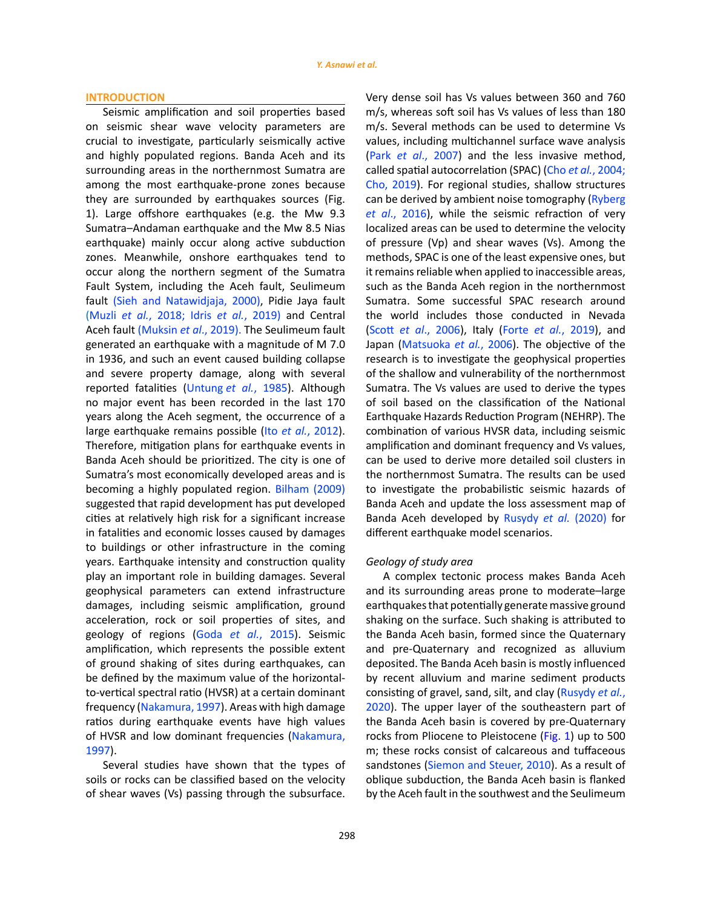#### **INTRODUCTION**

Seismic amplification and soil properties based on seismic shear wave velocity parameters are crucial to investigate, particularly seismically active and highly populated regions. Banda Aceh and its surrounding areas in the northernmost Sumatra are among the most earthquake-prone zones because they are surrounded by earthquakes sources (Fig. 1). Large offshore earthquakes (e.g. the Mw 9.3 Sumatra–Andaman earthquake and the Mw 8.5 Nias earthquake) mainly occur along active subduction zones. Meanwhile, onshore earthquakes tend to occur along the northern segment of the Sumatra Fault System, including the Aceh fault, Seulimeum fault (Sieh and Natawidjaja, 2000), Pidie Jaya fault (Muzli *et al.*, 2018; Idris *et al.*, 2019) and Central Aceh fault (Muksin *et al*., 2019). The Seulimeum fault generated an earthquake with a magnitude of M 7.0 in 1936, and such an event caused building collapse and severe property damage, along with several reported fatalities (Untung *et al.*, 1985). Although no major event has been recorded in the last 170 years along the Aceh segment, the occurrence of a large earthquake remains possible (Ito *et al.*, 2012). Therefore, mitigation plans for earthquake events in Banda Aceh should be prioritized. The city is one of Sumatra's most economically developed areas and is becoming a highly populated region. Bilham (2009) suggested that rapid development has put developed cities at relatively high risk for a significant increase in fatalities and economic losses caused by damages to buildings or other infrastructure in the coming years. Earthquake intensity and construction quality play an important role in building damages. Several geophysical parameters can extend infrastructure damages, including seismic amplification, ground acceleration, rock or soil properties of sites, and geology of regions (Goda *et al.*, 2015). Seismic amplification, which represents the possible extent of ground shaking of sites during earthquakes, can be defined by the maximum value of the horizontalto-vertical spectral ratio (HVSR) at a certain dominant frequency (Nakamura, 1997). Areas with high damage ratios during earthquake events have high values of HVSR and low dominant frequencies (Nakamura, 1997).

Several studies have shown that the types of soils or rocks can be classified based on the velocity of shear waves (Vs) passing through the subsurface. Very dense soil has Vs values between 360 and 760 m/s, whereas soft soil has Vs values of less than 180 m/s. Several methods can be used to determine Vs values, including multichannel surface wave analysis (Park *et al*., 2007) and the less invasive method, called spatial autocorrelation (SPAC) (Cho *et al.*, 2004; Cho, 2019). For regional studies, shallow structures can be derived by ambient noise tomography (Ryberg *et al*., 2016), while the seismic refraction of very localized areas can be used to determine the velocity of pressure (Vp) and shear waves (Vs). Among the methods, SPAC is one of the least expensive ones, but it remains reliable when applied to inaccessible areas, such as the Banda Aceh region in the northernmost Sumatra. Some successful SPAC research around the world includes those conducted in Nevada (Scott *et al*., 2006), Italy (Forte *et al.*, 2019), and Japan (Matsuoka *et al.*, 2006). The objective of the research is to investigate the geophysical properties of the shallow and vulnerability of the northernmost Sumatra. The Vs values are used to derive the types of soil based on the classification of the National Earthquake Hazards Reduction Program (NEHRP). The combination of various HVSR data, including seismic amplification and dominant frequency and Vs values, can be used to derive more detailed soil clusters in the northernmost Sumatra. The results can be used to investigate the probabilistic seismic hazards of Banda Aceh and update the loss assessment map of Banda Aceh developed by Rusydy *et al.* (2020) for different earthquake model scenarios.

#### *Geology of study area*

A complex tectonic process makes Banda Aceh and its surrounding areas prone to moderate–large earthquakes that potentially generate massive ground shaking on the surface. Such shaking is attributed to the Banda Aceh basin, formed since the Quaternary and pre-Quaternary and recognized as alluvium deposited. The Banda Aceh basin is mostly influenced by recent alluvium and marine sediment products consisting of gravel, sand, silt, and clay (Rusydy *et al.*, 2020). The upper layer of the southeastern part of the Banda Aceh basin is covered by pre-Quaternary rocks from Pliocene to Pleistocene (Fig. 1) up to 500 m; these rocks consist of calcareous and tuffaceous sandstones (Siemon and Steuer, 2010). As a result of oblique subduction, the Banda Aceh basin is flanked by the Aceh fault in the southwest and the Seulimeum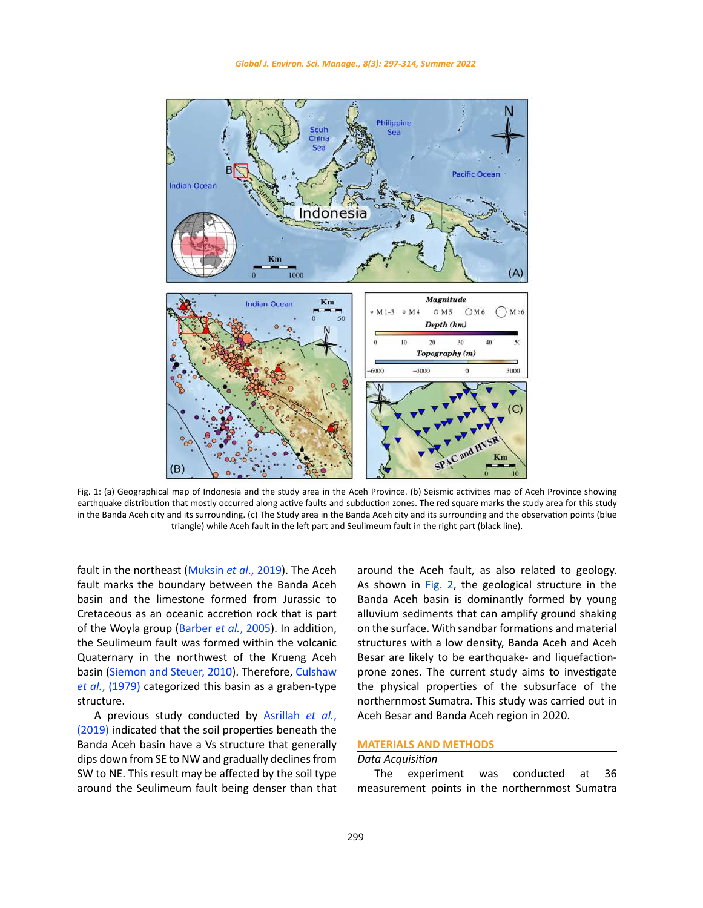

triangle) while Aceh fault in the left part and Seulimeum fault in the right part (black line). Fig. 1: (a) Geographical map of Indonesia and the study area in the Aceh Province. (b) Seismic activities map of Aceh Province showing earthquake distribution that mostly occurred along active faults and subduction zones. The red square marks the study area for this study in the Banda Aceh city and its surrounding. (c) The Study area in the Banda Aceh city and its surrounding and the observation points (blue

fault in the northeast (Muksin *et al.*, 2019). The Aceh around the Aceh fault, as also related to geology. fault marks the boundary between the Banda Aceh basin and the limestone formed from Jurassic to Cretaceous as an oceanic accretion rock that is part of the Woyla group (Barber *et al.*, 2005). In addition, the Seulimeum fault was formed within the volcanic Quaternary in the northwest of the Krueng Aceh basin (Siemon and Steuer, 2010). Therefore, Culshaw *et al.*, (1979) categorized this basin as a graben-type structure. Frault in the northeast (Makshi et al., 2013). The Acen carbonic the Acen fault, as also related to geology.<br>Fault marks the boundary between the Banda Aceh cas shown in Fig. 2, the geological structure in the

A previous study conducted by Asrillah *et al.*, (2019) indicated that the soil properties beneath the Banda Aceh basin have a Vs structure that generally dips down from SE to NW and gradually declines from SW to NE. This result may be affected by the soil type around the Seulimeum fault being denser than that

around the Aceh fault, as also related to geology. ed from Jurassic to Banda Aceh basin is dominantly formed by young alluvium sediments that can amplify ground shaking on the surface. With sandbar formations and material structures with a low density, Banda Aceh and Aceh Besar are likely to be earthquake- and liquefactionprone zones. The current study aims to investigate the physical properties of the subsurface of the northernmost Sumatra. This study was carried out in Aceh Besar and Banda Aceh region in 2020.

## **MATERIALS AND METHODS**

## *Data Acquisition*

The experiment was conducted at 36 measurement points in the northernmost Sumatra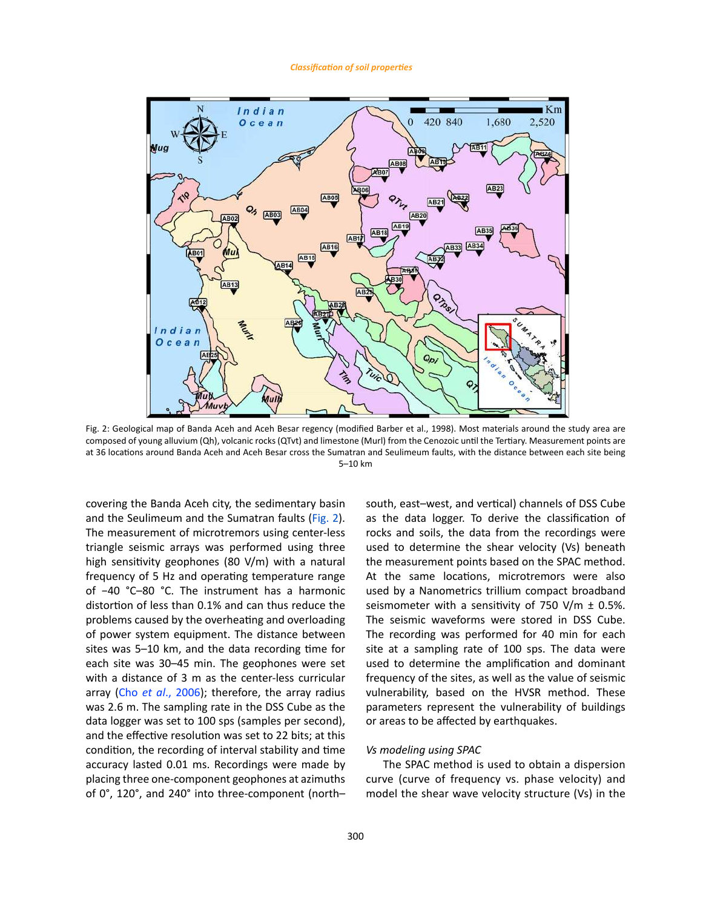#### *Classification of soil properties*



composed of young alluvium (Qh), volcanic rocks (QTvt) and limestone (Murl) from the Cenozoic until the Tertiary. Measurement points are at 36 locations around Banda Aceh and Aceh Besar cross the Sumatran and Seulimeum faults, with the distance between each site being Fig. 2: Geological map of Banda Aceh and Aceh Besar regency (modified Barber et al., 1998). Most materials around the study area are 5–10 km

covering the Banda Aceh city, the sedimentary basin and the Seulimeum and the Sumatran faults (Fig. 2). The measurement of microtremors using center-less triangle seismic arrays was performed using three high sensitivity geophones (80 V/m) with a natural frequency of 5 Hz and operating temperature range of −40 °C–80 °C. The instrument has a harmonic distortion of less than 0.1% and can thus reduce the problems caused by the overheating and overloading of power system equipment. The distance between sites was 5–10 km, and the data recording time for each site was 30–45 min. The geophones were set with a distance of 3 m as the center-less curricular array (Cho *et al*., 2006); therefore, the array radius was 2.6 m. The sampling rate in the DSS Cube as the data logger was set to 100 sps (samples per second), and the effective resolution was set to 22 bits; at this condition, the recording of interval stability and time accuracy lasted 0.01 ms. Recordings were made by placing three one-component geophones at azimuths of 0°, 120°, and 240° into three-component (north–

south, east–west, and vertical) channels of DSS Cube as the data logger. To derive the classification of rocks and soils, the data from the recordings were used to determine the shear velocity (Vs) beneath the measurement points based on the SPAC method. At the same locations, microtremors were also used by a Nanometrics trillium compact broadband seismometer with a sensitivity of 750 V/m  $\pm$  0.5%. The seismic waveforms were stored in DSS Cube. The recording was performed for 40 min for each site at a sampling rate of 100 sps. The data were used to determine the amplification and dominant frequency of the sites, as well as the value of seismic vulnerability, based on the HVSR method. These parameters represent the vulnerability of buildings or areas to be affected by earthquakes.

#### *Vs modeling using SPAC*

The SPAC method is used to obtain a dispersion curve (curve of frequency vs. phase velocity) and model the shear wave velocity structure (Vs) in the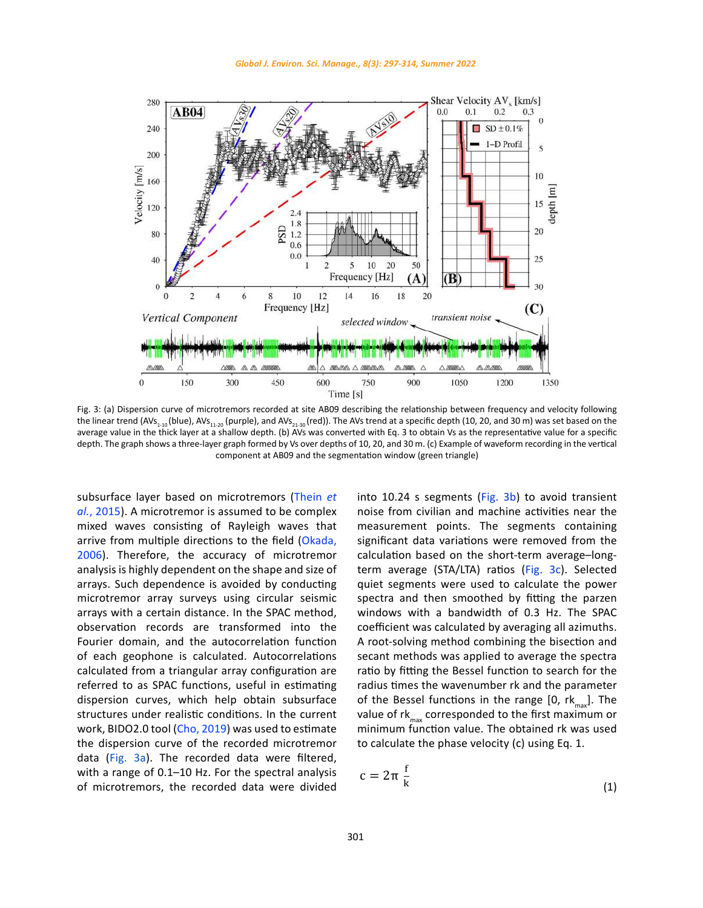

rig. 3: (a) Dispersion curve of inicrotremors recorded at site ABO9 describing the relationship between frequency and velocity following<br>the linear trend (AVs<sub>1-10</sub> (blue), AVs<sub>11-20</sub> (purple), and AVs<sub>21-30</sub> (red)). The average value in the thick layer at a shallow depth. (b) AVs was converted with Eq. 3 to obtain Vs as the representative value for a specific depth. The graph shows a three-layer graph formed by Vs over depths of 10, 20, and 30 m. (c) Example of waveform recording in the vertical component at AB09 and the segmentation window (green triangle) Fig. 3: (a) Dispersion curve of microtremors recorded at site AB09 describing the relationship between frequency and velocity following

subsurface layer based on microtremors (Thein *et al.*, 2015). A microtremor is assumed to be complex mixed waves consisting of Rayleigh waves that arrive from multiple directions to the field (Okada, 2006). Therefore, the accuracy of microtremor analysis is highly dependent on the shape and size of arrays. Such dependence is avoided by conducting microtremor array surveys using circular seismic arrays with a certain distance. In the SPAC method, observation records are transformed into the Fourier domain, and the autocorrelation function of each geophone is calculated. Autocorrelations calculated from a triangular array configuration are referred to as SPAC functions, useful in estimating dispersion curves, which help obtain subsurface structures under realistic conditions. In the current work, BIDO2.0 tool (Cho, 2019) was used to estimate the dispersion curve of the recorded microtremor data (Fig. 3a). The recorded data were filtered, with a range of 0.1–10 Hz. For the spectral analysis of microtremors, the recorded data were divided

ed on microtremors (Thein *et* into 10.24 s segments (Fig. 3b) to avoid transient noise from civilian and machine activities near the measurement points. The segments containing significant data variations were removed from the calculation based on the short-term average–longterm average (STA/LTA) ratios (Fig. 3c). Selected quiet segments were used to calculate the power spectra and then smoothed by fitting the parzen windows with a bandwidth of 0.3 Hz. The SPAC coefficient was calculated by averaging all azimuths. A root-solving method combining the bisection and secant methods was applied to average the spectra ratio by fitting the Bessel function to search for the radius times the wavenumber rk and the parameter of the Bessel functions in the range  $[0, rk_{min}]$ . The value of  $rk_{\text{max}}$  corresponded to the first maximum or minimum function value. The obtained rk was used to calculate the phase velocity (c) using Eq. 1.

$$
c = 2\pi \frac{f}{k} \tag{1}
$$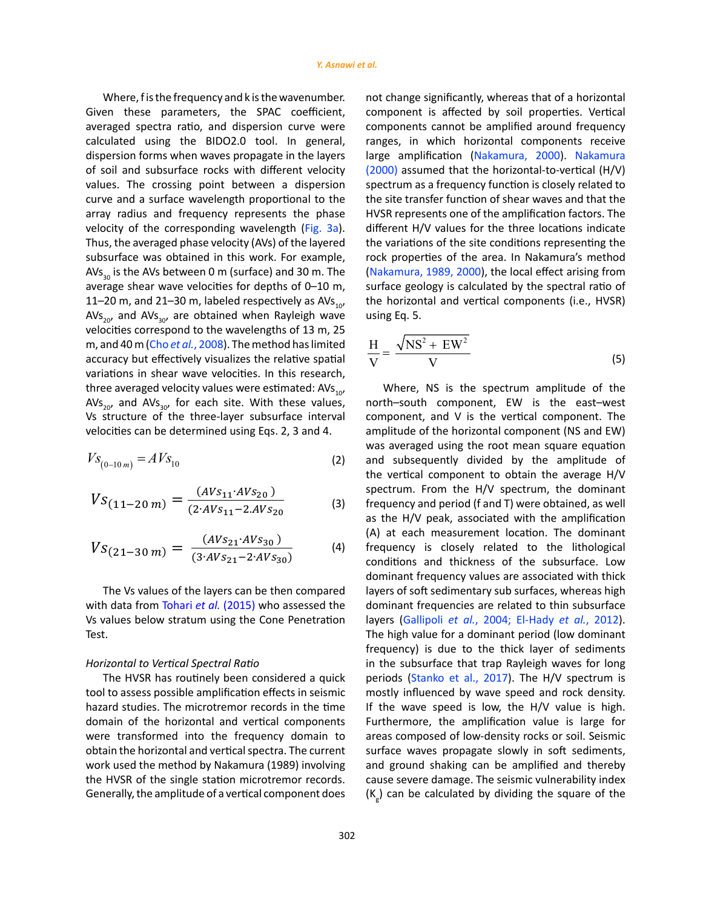Where, f is the frequency and k is the wavenumber. Given these parameters, the SPAC coefficient, averaged spectra ratio, and dispersion curve were calculated using the BIDO2.0 tool. In general,<br>dispersion-forms-when-waves-propagate-in-the-lavers dispersion forms when waves propagate in the layers of soil and subsurface rocks with different velocity values. The crossing point between a dispersion curve and a surface wavelength proportional to the velocity of the corresponding wavelength (Fig. 3a). Thus, the averaged phase velocity (AVs) of the layered average shear wave velocities for depths of 0–10 m, AVs<sub>20</sub>, and AVs<sub>30</sub>, are obtained when Rayleigh wave using Eq. 5. velocities correspond to the wavelengths of 13 m, 25<br>m and  $40 \text{ m/s}$  and  $\frac{2008}{\text{m}}$  The mathed beslimited when  $\sqrt{\text{MS}^2 + \text{EW}^2}$ m, and 40 m (Cho *et al.*, 2008). The method has limited  $\rm{H}$   $\rm{\sqrt{NS^2+EW^2}}$ accuracy but effectively visualizes the relative spatial  $\frac{H}{V} = \frac{\sqrt{19.3} + \sqrt{10}}{V}$  (5) variations in shear wave velocities. In this research,<br>three averaged velocity values were estimated:  $\Delta V_f$  and  $\Delta V_f$  and  $\Delta V_f$  are the spectrum applitude of the three averaged velocity values were estimated:  $AVs<sub>10</sub>$ , Where, NS is the spectrum amplitude of the AVs<sub>20</sub>, and AVs<sub>30</sub>, for each site. With these values, an orth-south component, EW is the east-west<br>Vs structure of the three-layer subsurface interval acomponent and V is the vertical component. The Vs structure of the three-layer subsurface interval velocities can be determined using Eqs. 2, 3 and 4. 2, 3 and 4. 2, 3 and 4.  $\frac{30}{20}$ , and Av3<sub>30</sub>, are obtained when hayteign wave vesting Eq. 5.<br>elocities correspond to the wavelengths of 13 m, 25

$$
V_{S_{(0-10\,m)}} = A\,V_{S_{10}}\tag{2}
$$

$$
VS_{(11-20\,m)} = \frac{(AVs_{11} \cdot AVs_{20})}{(2 \cdot AVs_{11} - 2 \cdot AVs_{20})}
$$
(3)

$$
V_{S(21-30\,m)} = \frac{(AV_{S_{21}} \cdot AV_{S_{30}})}{(3 \cdot AV_{S_{21}} - 2 \cdot AV_{S_{30}})}
$$
(4)

Which data from fortal et al. (2013) who assessed the Testimal Requencies are related to Vs values below stratum using the Cone Penetration Tayers (Gallipoli *et al.*, 2004; El-Had The Vs values of the layers can be then compared with data from Tohari *et al.* (2015) who assessed the Test.

# *Horizontal to Vertical Spectral Ratio Horizontal to Vertical Spectral Ratio Horizontal to Vertical Spectral Ratio*

The HVSR has routinely been considered a quick tool to assess possible amplification effects in seismic hazard studies. The microtremor records in the time domain of the horizontal and vertical components were transformed into the frequency domain to obtain the horizontal and vertical spectra. The current work used the method by Nakamura (1989) involving the HVSR of the single station microtremor records. Generally, the amplitude of a vertical component does

array radius and frequency represents the phase HVSR represents one of the amplification factors. The subsurface was obtained in this work. For example, york properties of the area. In Nakamura's method<br>Also is the Also hat ween One (wefsee) and 20 m. The you (Nakamura 4000, 2000) the lead offert arising freme AVs<sub>30</sub> is the AVs between 0 m (surface) and 30 m. The  $\qquad$  (Nakamura, 1989, 2000), the local effect arising from 11–20 m, and 21–30 m, labeled respectively as AVs<sub>10</sub>, the horizontal and vertical components (i.e., HVSR) using the BIDO2.0 tool. In general, and ranges, in which horizontal components receive<br>orms when waves propagate in the layers angle amplification (Nakamura, 2000). Nakamura<br>subsurface rocks with different velocity (2000) alues. The crossing point between a dispersion spectrum as a frequency function is closely related to and a surface waverength proportional to the the site transier function or shear waves and that the BIDO2.0 to<br>Tray radius and frequency represents the phase HVSR represents one of the amplification factors. The  $\frac{1}{2}$  of the corresponding wavelength (Fig. 3a). different H/V values for the three locations indicate hus, the averaged phase velocity (AVs) of the layered hthe variations of the site conditions representing the  $\frac{1}{20}$  is the Avs between 0 in (surface) and 30 in. The the probability, 1989, 2000), the local effect arising nonand a surface wavelength proportional to the the site transfer function of shear waves and that the site wavelength proportional to the the site transfer function of shear waves and that the rius, the averaged phase velocity (Avs) of the layered and a variations of the site conditions representing the<br>ubsurface was obtained in this work. For example, a rock properties of the area. In Nakamura's method not change significantly, whereas that of a horizontal component is affected by soil properties. Vertical components cannot be amplified around frequency ranges, in which horizontal components receive (2000) assumed that the horizontal-to-vertical (H/V) (Nakamura, 1989, 2000), the local effect arising from the horizontal and vertical components (i.e., HVSR) using Eq. 5.

$$
\frac{H}{V} = \frac{\sqrt{NS^2 + EW^2}}{V}
$$
 (5)

 $\chi_{(0-10\,m)} = A\,VS_{10}$  (2) and subsequently divided by the amplitude of the vertical component to obtain the average H/V frequency and period (f and T) were obtained, as well  $\frac{(AVs_{21} \cdot AVs_{30})}{(3 \cdot AVs_{21} - 2 \cdot AVs_{20})}$  (4) frequency is closely related to the lithological The Vs values of the layers can be then compared layers of soft sedimentary sub surfaces, whereas high<br>it data from Tahari *et al.* (2015) who accessed the subminant from varies are related to this submuface in the subsurface that trap Rayleigh waves for long<br>The HVSR has routinely been considered a quick eperiods (Stanko et al., 2017). The H/V spectrum is bol to assess possible amplification effects in seismic mostly influenced by wave speed and rock density. azard studies. The microtremor records in the time and forthe wave speed is low, the H/V value is high. lomain of the horizontal and vertical components Furthermore, the amplification value is large for involving the H bere transformed into the nequency domain to areas composed or low-density rocks or son: Jersinic<br>btain the horizontal and vertical spectra. The current surface waves propagate slowly in soft sediments, vork used the method by Nakamura (1989) involving and ground shaking can be amplified and thereby he HVSR of the single station microtremor records. Cause severe damage. The seismic vulnerability index enerally, the amplitude of a vertical component does  $\left\{ \mathsf{K}_{\widetilde{g}}\right\}$  can be calculated by dividing the square of the  $Ns_{20}$  and AVs<sub>30</sub>, for each site. With these values, north–south component, EW is the east–west 's structure of the three-layer subsurface interval component, and V is the vertical component. The  $\frac{(AV321 \, AV330 \, V)}{(3.4VS_{21}-2.4Vs_{30})}$  (4) frequency is closely related to the lithological conditions and thickness of the subsurface. Low vith data from Tohari *et al.* (2015) who assessed the dominant frequencies are related to thin subsurface azaid studies. The inicrotremor records in the time to the wave speed is low, the rifly value is hight.<br>Iomain of the horizontal and vertical components Furthermore, the amplification value is large for vere transformed into the frequency domain to areas composed of low-density rocks or soil. Seismic Ne Trysh of the shighe station interoclemer records. Cause severe damage: the seismic valuerability muck here  $\mathcal{N}_e$  are calculated by dividing the square of the components receive large amplification (Nakamura, 2000). Nakamura (2000) assumed that the Where, NS is the spectrum amplitude of the amplitude of the horizontal component (NS and EW) was averaged using the root mean square equation and subsequently divided by the amplitude of spectrum. From the H/V spectrum, the dominant as the H/V peak, associated with the amplification (A) at each measurement location. The dominant dominant frequency values are associated with thick layers (Gallipoli *et al.*, 2004; El-Hady *et al.*, 2012). The high value for a dominant period (low dominant frequency) is due to the thick layer of sediments in the subsurface that trap Rayleigh waves for long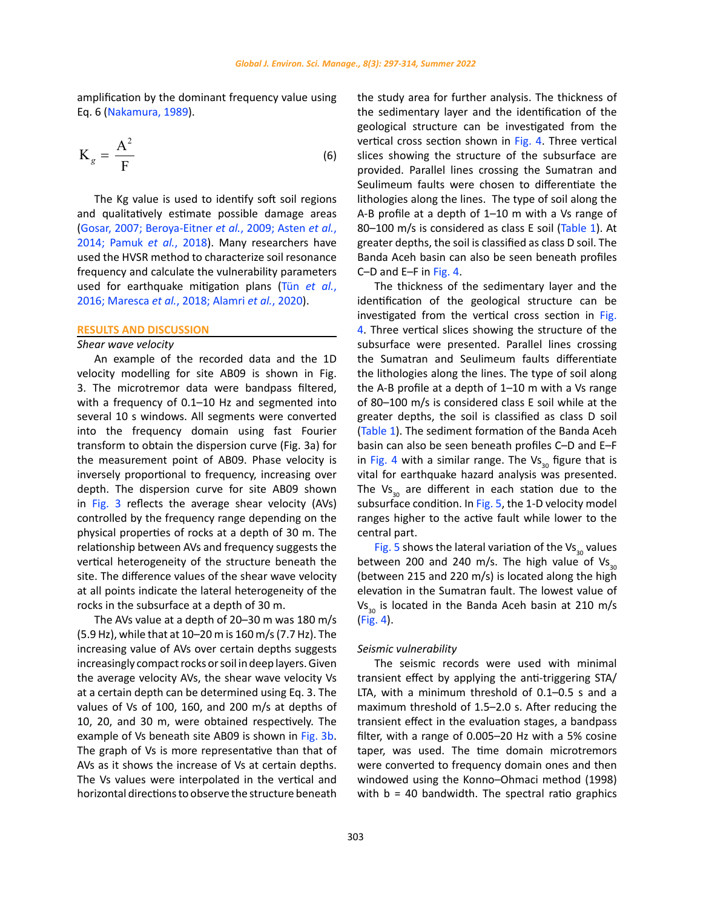amplification by the dominant frequency value using Eq. 6 (Nakamura, 1989).

$$
K_g = \frac{A^2}{F}
$$
 (6)

The Kg value is used to identify soft soil regions and qualitatively estimate possible damage areas (Gosar, 2007; Beroya-Eitner *et al.*, 2009; Asten *et al.*, 2014; Pamuk *et al.*, 2018). Many researchers have used the HVSR method to characterize soil resonance frequency and calculate the vulnerability parameters used for earthquake mitigation plans (Tün *et al.*, 2016; Maresca *et al.*, 2018; Alamri *et al.*, 2020).

#### **RESULTS AND DISCUSSION**

## *Shear wave velocity*

An example of the recorded data and the 1D velocity modelling for site AB09 is shown in Fig. 3. The microtremor data were bandpass filtered, with a frequency of 0.1–10 Hz and segmented into several 10 s windows. All segments were converted into the frequency domain using fast Fourier transform to obtain the dispersion curve (Fig. 3a) for the measurement point of AB09. Phase velocity is inversely proportional to frequency, increasing over depth. The dispersion curve for site AB09 shown in Fig. 3 reflects the average shear velocity (AVs) controlled by the frequency range depending on the physical properties of rocks at a depth of 30 m. The relationship between AVs and frequency suggests the vertical heterogeneity of the structure beneath the site. The difference values of the shear wave velocity at all points indicate the lateral heterogeneity of the rocks in the subsurface at a depth of 30 m.

The AVs value at a depth of 20–30 m was 180 m/s (5.9 Hz), while that at 10–20 m is 160 m/s (7.7 Hz). The increasing value of AVs over certain depths suggests increasingly compact rocks or soil in deep layers. Given the average velocity AVs, the shear wave velocity Vs at a certain depth can be determined using Eq. 3. The values of Vs of 100, 160, and 200 m/s at depths of 10, 20, and 30 m, were obtained respectively. The example of Vs beneath site AB09 is shown in Fig. 3b. The graph of Vs is more representative than that of AVs as it shows the increase of Vs at certain depths. The Vs values were interpolated in the vertical and horizontal directions to observe the structure beneath

the study area for further analysis. The thickness of the sedimentary layer and the identification of the geological structure can be investigated from the vertical cross section shown in Fig. 4. Three vertical slices showing the structure of the subsurface are provided. Parallel lines crossing the Sumatran and Seulimeum faults were chosen to differentiate the lithologies along the lines. The type of soil along the A-B profile at a depth of 1–10 m with a Vs range of 80-100 m/s is considered as class E soil (Table 1). At greater depths, the soil is classified as class D soil. The Banda Aceh basin can also be seen beneath profiles C–D and E–F in Fig. 4.

The thickness of the sedimentary layer and the identification of the geological structure can be investigated from the vertical cross section in Fig. 4. Three vertical slices showing the structure of the subsurface were presented. Parallel lines crossing the Sumatran and Seulimeum faults differentiate the lithologies along the lines. The type of soil along the A-B profile at a depth of 1–10 m with a Vs range of 80–100 m/s is considered class E soil while at the greater depths, the soil is classified as class D soil (Table 1). The sediment formation of the Banda Aceh basin can also be seen beneath profiles C–D and E–F in Fig. 4 with a similar range. The  $Vs_{30}$  figure that is vital for earthquake hazard analysis was presented. The  $\mathsf{Vs}_{30}$  are different in each station due to the subsurface condition. In Fig. 5, the 1-D velocity model ranges higher to the active fault while lower to the central part.

Fig. 5 shows the lateral variation of the  $Vs_{30}$  values between 200 and 240 m/s. The high value of  $V_{5,0}$ (between 215 and 220 m/s) is located along the high elevation in the Sumatran fault. The lowest value of  $Vs<sub>20</sub>$  is located in the Banda Aceh basin at 210 m/s (Fig. 4).

#### *Seismic vulnerability*

The seismic records were used with minimal transient effect by applying the anti-triggering STA/ LTA, with a minimum threshold of 0.1–0.5 s and a maximum threshold of 1.5–2.0 s. After reducing the transient effect in the evaluation stages, a bandpass filter, with a range of 0.005–20 Hz with a 5% cosine taper, was used. The time domain microtremors were converted to frequency domain ones and then windowed using the Konno–Ohmaci method (1998) with  $b = 40$  bandwidth. The spectral ratio graphics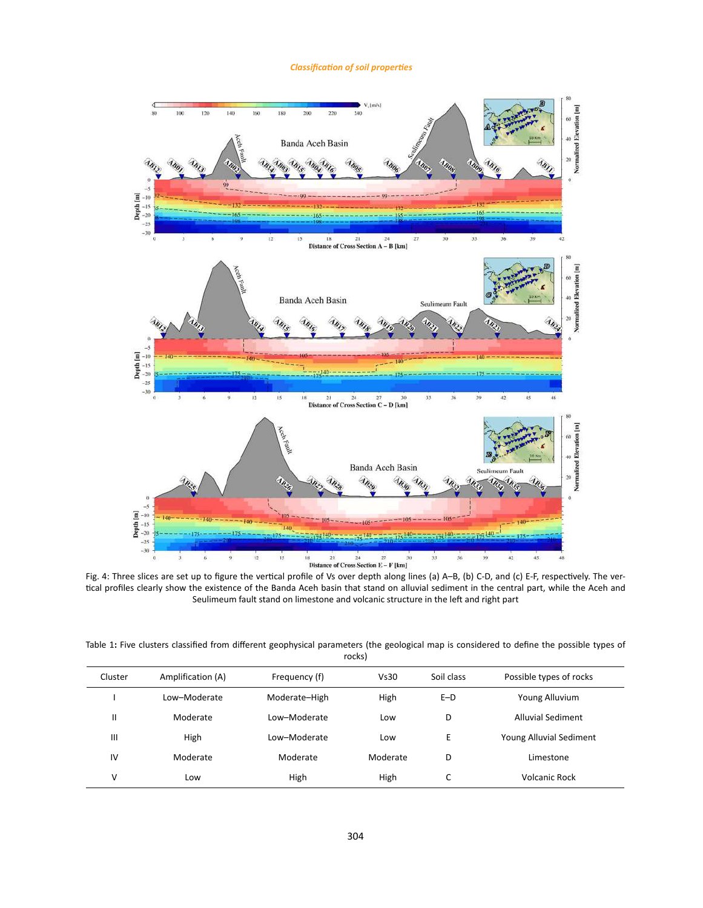## *Classification of soil properties*



rig. 4: Three slices are set up to figure the vertical profile or vs over depth along lines (a) A–B, (b) C-D, and (c) E-F, respectively. The ver-<br>tical profiles clearly show the existence of the Banda Aceh basin that stand respectively. The vertical profiles clearly show the existence of the Banda Aceh basin that stand on alluvial stand on and vertical part Seulimeum fault stand on limestone and volcanic structure in the left and right part

Table 1: Five clusters classified from different geophysical parameters (the geological map is considered to define the possible types of rocks)

| Cluster        | Amplification (A) | Frequency (f) | Vs30     | Soil class | Possible types of rocks |
|----------------|-------------------|---------------|----------|------------|-------------------------|
|                | Low-Moderate      | Moderate-High | High     | $E-D$      | Young Alluvium          |
| $\mathsf{I}$   | Moderate          | Low-Moderate  | Low      | D          | Alluvial Sediment       |
| $\mathbf{III}$ | High              | Low-Moderate  | Low      | E          | Young Alluvial Sediment |
| IV             | Moderate          | Moderate      | Moderate | D          | Limestone               |
| ٧              | Low               | High          | High     | C          | <b>Volcanic Rock</b>    |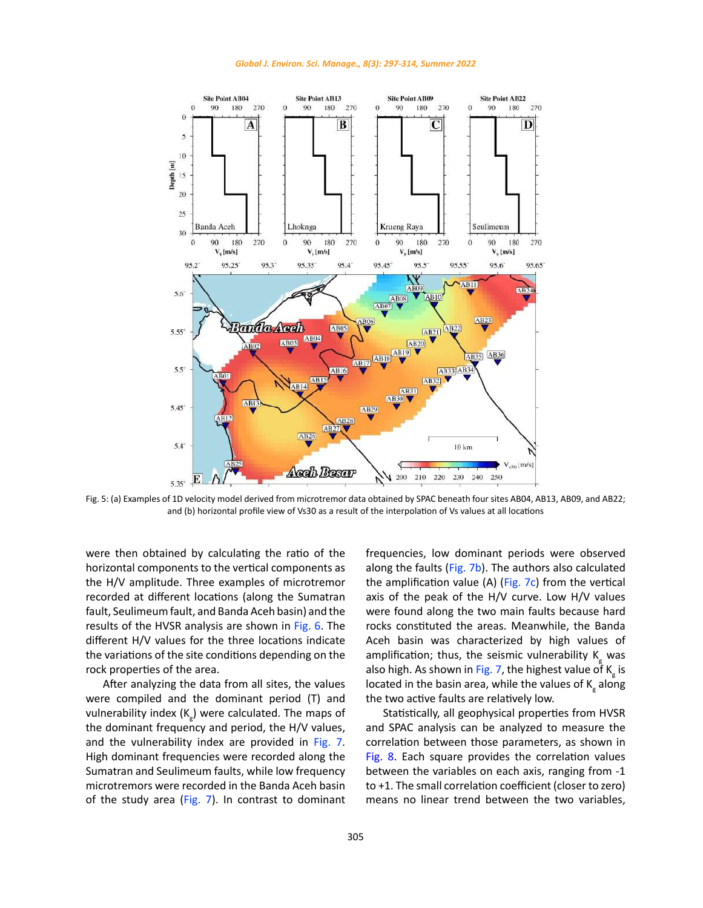



Fig. 5: (a) Examples of 1D velocity model derived from microtremor data obtained by SPAC beneath four sites AB04, AB13, AB09, and AB22; and (b) horizontal profile view of Vs30 as a result of the interpolation of Vs values at all locations

were then obtained by calculating the ratio of the horizontal components to the vertical components as the H/V amplitude. Three examples of microtremor recorded at different locations (along the Sumatran fault, Seulimeum fault, and Banda Aceh basin) and the results of the HVSR analysis are shown in Fig. 6. The different H/V values for the three locations indicate the variations of the site conditions depending on the rock properties of the area.

After analyzing the data from all sites, the values were compiled and the dominant period (T) and vulnerability index  $(K_{\overline{g}})$  were calculated. The maps of the dominant frequency and period, the H/V values, and the vulnerability index are provided in Fig. 7. High dominant frequencies were recorded along the Sumatran and Seulimeum faults, while low frequency microtremors were recorded in the Banda Aceh basin of the study area (Fig. 7). In contrast to dominant

frequencies, low dominant periods were observed along the faults (Fig. 7b). The authors also calculated the amplification value (A) ( $Fig. 7c$ ) from the vertical axis of the peak of the H/V curve. Low H/V values were found along the two main faults because hard rocks constituted the areas. Meanwhile, the Banda Aceh basin was characterized by high values of amplification; thus, the seismic vulnerability  $K_{g}$  was also high. As shown in Fig. 7, the highest value of  $K_{\rm g}$  is located in the basin area, while the values of  $\mathsf{K}_{g}^{\phantom{\dag}}$  along the two active faults are relatively low.

Statistically, all geophysical properties from HVSR and SPAC analysis can be analyzed to measure the correlation between those parameters, as shown in Fig. 8. Each square provides the correlation values between the variables on each axis, ranging from -1 to +1. The small correlation coefficient (closer to zero) means no linear trend between the two variables,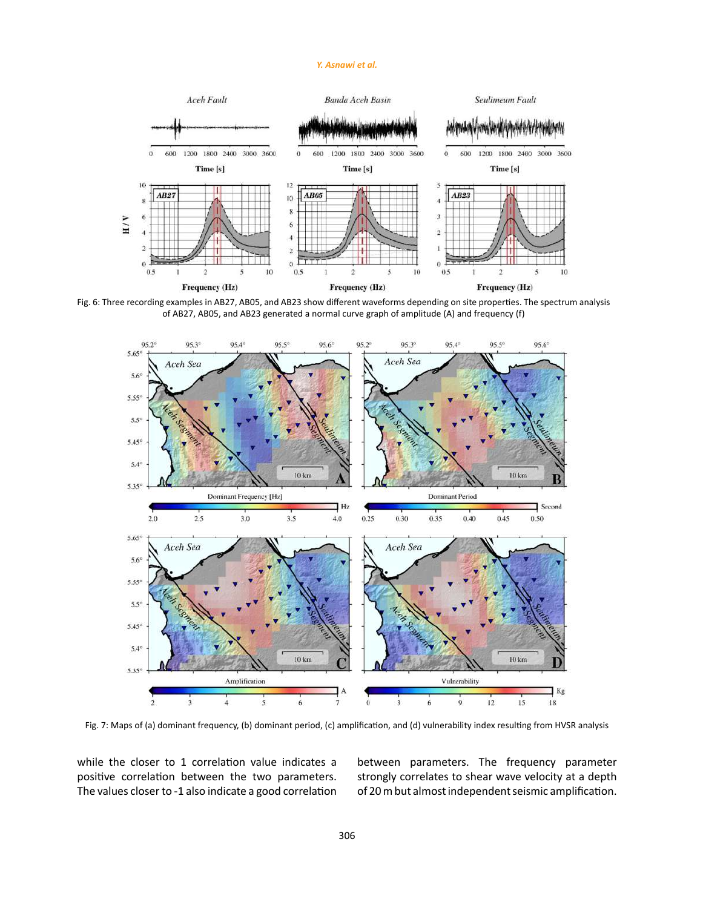## *Y. Asnawi et al.*



Fig. 6: Three recording examples in AB27, AB05, and AB23 show different waveforms depending on site properties. The spectrum analysis of AB27, AB05, and AB23 generated a normal curve graph of amplitude (A) and frequency (f)



Fig. 7: Maps of (a) dominant frequency, (b) dominant period, (c) amplification, and (d) vulnerability index resulting from HVSR analysis

while the closer to 1 correlation value indicates a positive correlation between the two parameters. The values closer to -1 also indicate a good correlation between parameters. The frequency parameter strongly correlates to shear wave velocity at a depth of 20 m but almost independent seismic amplification.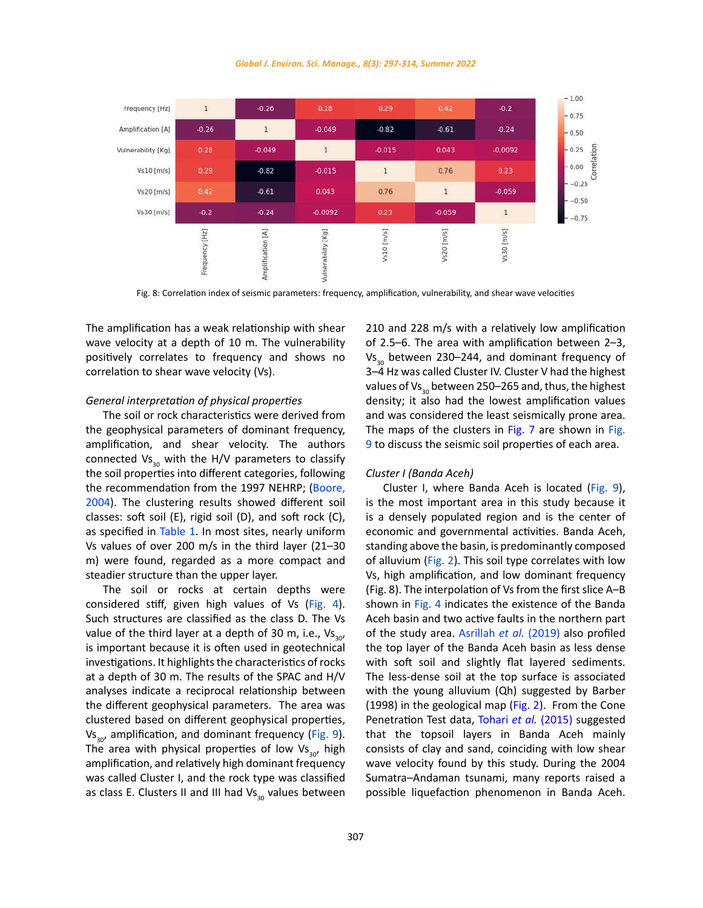



Fig. 8: Correlation index of seismic parameters: frequency, amplification, vulnerability, and shear wave velocities

The amplification has a weak relationship with shear wave velocity at a depth of 10 m. The vulnerability positively correlates to frequency and shows no correlation to shear wave velocity (Vs).

#### *General interpretation of physical properties*

The soil or rock characteristics were derived from the geophysical parameters of dominant frequency, amplification, and shear velocity. The authors connected  $VS_{30}$  with the H/V parameters to classify the soil properties into different categories, following the recommendation from the 1997 NEHRP; (Boore, 2004). The clustering results showed different soil classes: soft soil (E), rigid soil (D), and soft rock (C), as specified in Table 1. In most sites, nearly uniform Vs values of over 200 m/s in the third layer (21–30 m) were found, regarded as a more compact and steadier structure than the upper layer.

The soil or rocks at certain depths were considered stiff, given high values of Vs (Fig. 4). Such structures are classified as the class D. The Vs value of the third layer at a depth of 30 m, i.e.,  $Vs_{30}$ , is important because it is often used in geotechnical investigations. It highlights the characteristics of rocks at a depth of 30 m. The results of the SPAC and H/V analyses indicate a reciprocal relationship between the different geophysical parameters. The area was clustered based on different geophysical properties,  $Vs_{30}$ , amplification, and dominant frequency (Fig. 9). The area with physical properties of low  $Vs<sub>30</sub>$ , high amplification, and relatively high dominant frequency was called Cluster I, and the rock type was classified as class E. Clusters II and III had  $Vs<sub>30</sub>$  values between 210 and 228 m/s with a relatively low amplification of 2.5–6. The area with amplification between 2–3,  $Vs<sub>20</sub>$  between 230–244, and dominant frequency of 3–4 Hz was called Cluster IV. Cluster V had the highest values of Vs<sub>30</sub> between 250–265 and, thus, the highest density; it also had the lowest amplification values and was considered the least seismically prone area. The maps of the clusters in Fig. 7 are shown in Fig. 9 to discuss the seismic soil properties of each area.

## *Cluster I (Banda Aceh)*

Cluster I, where Banda Aceh is located (Fig. 9), is the most important area in this study because it is a densely populated region and is the center of economic and governmental activities. Banda Aceh, standing above the basin, is predominantly composed of alluvium (Fig. 2). This soil type correlates with low Vs, high amplification, and low dominant frequency (Fig. 8). The interpolation of Vs from the first slice A–B shown in Fig. 4 indicates the existence of the Banda Aceh basin and two active faults in the northern part of the study area. Asrillah *et al.* (2019) also profiled the top layer of the Banda Aceh basin as less dense with soft soil and slightly flat layered sediments. The less-dense soil at the top surface is associated with the young alluvium (Qh) suggested by Barber (1998) in the geological map (Fig. 2). From the Cone Penetration Test data, Tohari *et al.* (2015) suggested that the topsoil layers in Banda Aceh mainly consists of clay and sand, coinciding with low shear wave velocity found by this study. During the 2004 Sumatra–Andaman tsunami, many reports raised a possible liquefaction phenomenon in Banda Aceh.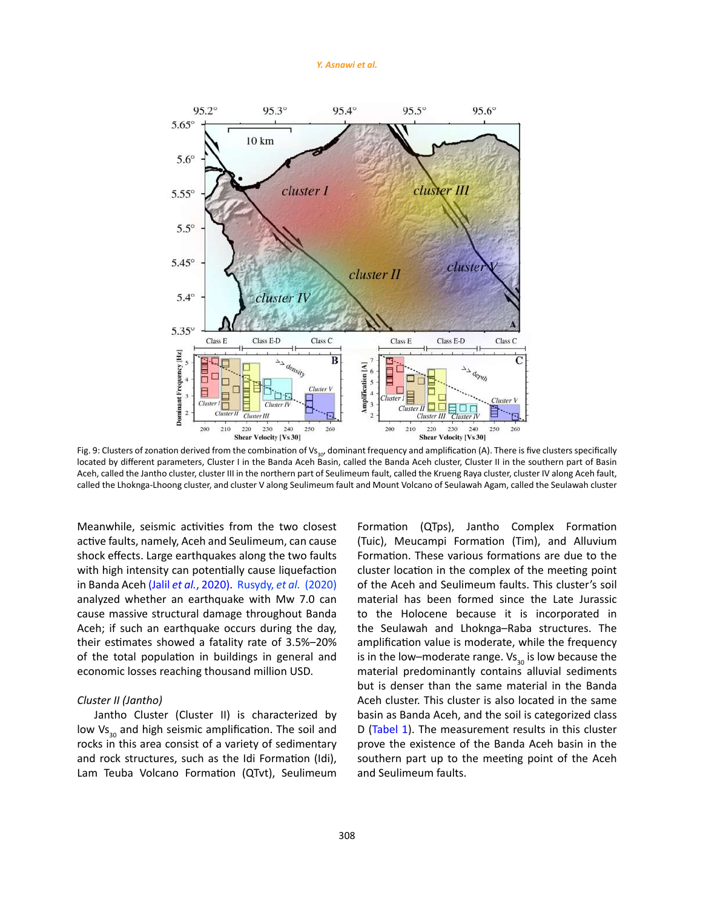#### *Y. Asnawi et al.*



Fig. 9: Clusters of zonation derived from the combination of Vs $_{\rm{so'}}$  dominant frequency and amplification (A). There is five clusters specifically located by different parameters, Cluster I in the Banda Aceh Basin, called the Banda Aceh cluster, Cluster II in the southern part of Basin Aceh, called the Jantho cluster, cluster III in the northern part of Seulimeum fault, called the Krueng Raya cluster, cluster IV along Aceh fault, called the Lhoknga-Lhoong cluster, and cluster V along Seulimeum fault and Mount Volcano of Seulawah Agam, called the Seulawah cluster

Meanwhile, seismic activities from the two closest active faults, namely, Aceh and Seulimeum, can cause shock effects. Large earthquakes along the two faults with high intensity can potentially cause liquefaction in Banda Aceh (Jalil *et al.*, 2020). Rusydy, *et al.* (2020) analyzed whether an earthquake with Mw 7.0 can cause massive structural damage throughout Banda Aceh: if such an earthquake occurs during the day. their estimates showed a fatality rate of 3.5%–20% of the total population in buildings in general and economic losses reaching thousand million USD.

## *Cluster II (Jantho)*

Jantho Cluster (Cluster II) is characterized by low Vs<sub>30</sub> and high seismic amplification. The soil and rocks in this area consist of a variety of sedimentary and rock structures, such as the Idi Formation (Idi), Lam Teuba Volcano Formation (QTvt), Seulimeum

Formation (QTps), Jantho Complex Formation (Tuic), Meucampi Formation (Tim), and Alluvium Formation. These various formations are due to the cluster location in the complex of the meeting point of the Aceh and Seulimeum faults. This cluster's soil material has been formed since the Late Jurassic to the Holocene because it is incorporated in the Seulawah and Lhoknga–Raba structures. The amplification value is moderate, while the frequency is in the low–moderate range.  $Vs_{30}$  is low because the material predominantly contains alluvial sediments but is denser than the same material in the Banda Aceh cluster. This cluster is also located in the same basin as Banda Aceh, and the soil is categorized class D (Tabel 1). The measurement results in this cluster prove the existence of the Banda Aceh basin in the southern part up to the meeting point of the Aceh and Seulimeum faults.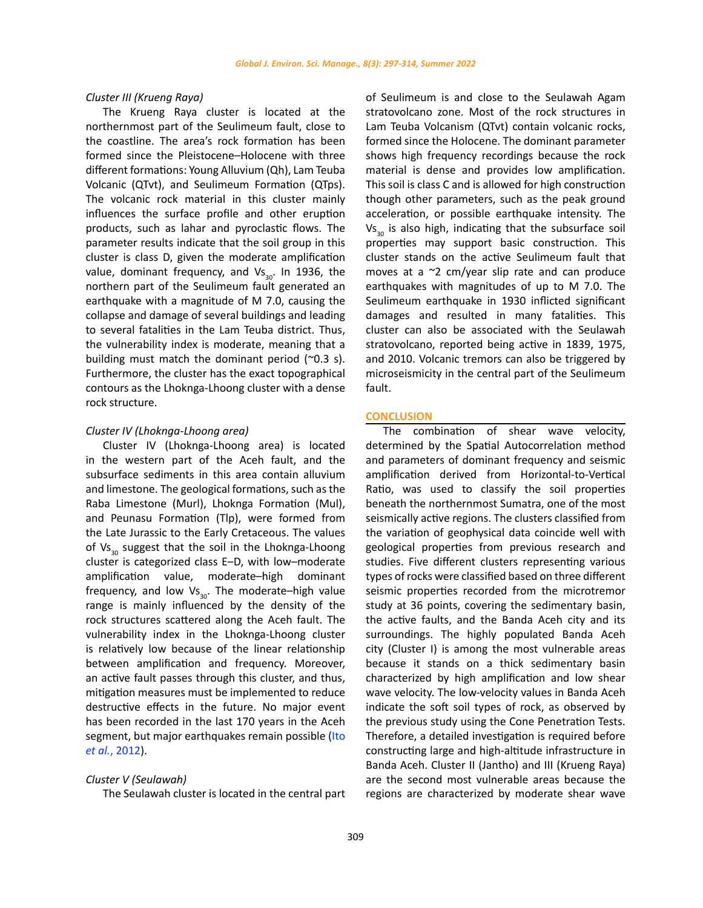## *Cluster III (Krueng Raya)*

The Krueng Raya cluster is located at the northernmost part of the Seulimeum fault, close to the coastline. The area's rock formation has been formed since the Pleistocene–Holocene with three different formations: Young Alluvium (Qh), Lam Teuba Volcanic (QTvt), and Seulimeum Formation (QTps). The volcanic rock material in this cluster mainly influences the surface profile and other eruption products, such as lahar and pyroclastic flows. The parameter results indicate that the soil group in this cluster is class D, given the moderate amplification value, dominant frequency, and  $Vs_{30}$ . In 1936, the northern part of the Seulimeum fault generated an earthquake with a magnitude of M 7.0, causing the collapse and damage of several buildings and leading to several fatalities in the Lam Teuba district. Thus, the vulnerability index is moderate, meaning that a building must match the dominant period  $(20.3 \text{ s}).$ Furthermore, the cluster has the exact topographical contours as the Lhoknga-Lhoong cluster with a dense rock structure.

## *Cluster IV (Lhoknga-Lhoong area)*

Cluster IV (Lhoknga-Lhoong area) is located in the western part of the Aceh fault, and the subsurface sediments in this area contain alluvium and limestone. The geological formations, such as the Raba Limestone (Murl), Lhoknga Formation (Mul), and Peunasu Formation (Tlp), were formed from the Late Jurassic to the Early Cretaceous. The values of  $VS_{30}$  suggest that the soil in the Lhoknga-Lhoong cluster is categorized class E–D, with low–moderate amplification value, moderate–high dominant frequency, and low  $Vs_{20}$ . The moderate–high value range is mainly influenced by the density of the rock structures scattered along the Aceh fault. The vulnerability index in the Lhoknga-Lhoong cluster is relatively low because of the linear relationship between amplification and frequency. Moreover, an active fault passes through this cluster, and thus, mitigation measures must be implemented to reduce destructive effects in the future. No major event has been recorded in the last 170 years in the Aceh segment, but major earthquakes remain possible (Ito *et al.*, 2012).

#### *Cluster V (Seulawah)*

The Seulawah cluster is located in the central part

of Seulimeum is and close to the Seulawah Agam stratovolcano zone. Most of the rock structures in Lam Teuba Volcanism (QTvt) contain volcanic rocks, formed since the Holocene. The dominant parameter shows high frequency recordings because the rock material is dense and provides low amplification. This soil is class C and is allowed for high construction though other parameters, such as the peak ground acceleration, or possible earthquake intensity. The  $Vs<sub>30</sub>$  is also high, indicating that the subsurface soil properties may support basic construction. This cluster stands on the active Seulimeum fault that moves at a ~2 cm/year slip rate and can produce earthquakes with magnitudes of up to M 7.0. The Seulimeum earthquake in 1930 inflicted significant damages and resulted in many fatalities. This cluster can also be associated with the Seulawah stratovolcano, reported being active in 1839, 1975, and 2010. Volcanic tremors can also be triggered by microseismicity in the central part of the Seulimeum fault.

#### **CONCLUSION**

The combination of shear wave velocity, determined by the Spatial Autocorrelation method and parameters of dominant frequency and seismic amplification derived from Horizontal-to-Vertical Ratio, was used to classify the soil properties beneath the northernmost Sumatra, one of the most seismically active regions. The clusters classified from the variation of geophysical data coincide well with geological properties from previous research and studies. Five different clusters representing various types of rocks were classified based on three different seismic properties recorded from the microtremor study at 36 points, covering the sedimentary basin, the active faults, and the Banda Aceh city and its surroundings. The highly populated Banda Aceh city (Cluster I) is among the most vulnerable areas because it stands on a thick sedimentary basin characterized by high amplification and low shear wave velocity. The low-velocity values in Banda Aceh indicate the soft soil types of rock, as observed by the previous study using the Cone Penetration Tests. Therefore, a detailed investigation is required before constructing large and high-altitude infrastructure in Banda Aceh. Cluster II (Jantho) and III (Krueng Raya) are the second most vulnerable areas because the regions are characterized by moderate shear wave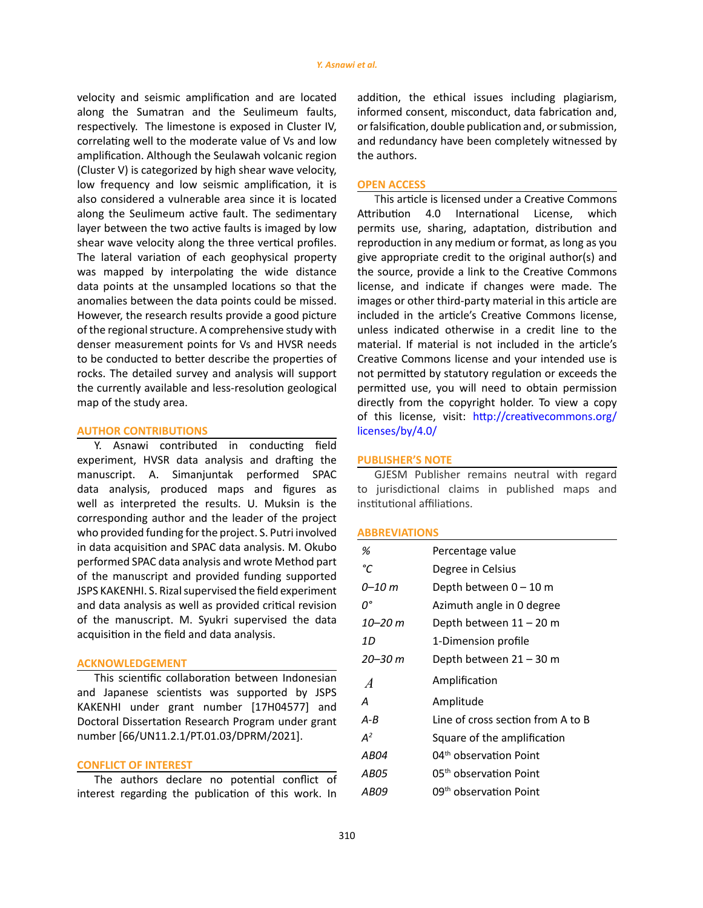velocity and seismic amplification and are located along the Sumatran and the Seulimeum faults, respectively. The limestone is exposed in Cluster IV, correlating well to the moderate value of Vs and low amplification. Although the Seulawah volcanic region (Cluster V) is categorized by high shear wave velocity, low frequency and low seismic amplification, it is also considered a vulnerable area since it is located along the Seulimeum active fault. The sedimentary layer between the two active faults is imaged by low shear wave velocity along the three vertical profiles. The lateral variation of each geophysical property was mapped by interpolating the wide distance data points at the unsampled locations so that the anomalies between the data points could be missed. However, the research results provide a good picture of the regional structure. A comprehensive study with denser measurement points for Vs and HVSR needs to be conducted to better describe the properties of rocks. The detailed survey and analysis will support the currently available and less-resolution geological map of the study area.

## **AUTHOR CONTRIBUTIONS**

Y. Asnawi contributed in conducting field experiment, HVSR data analysis and drafting the manuscript. A. Simanjuntak performed SPAC data analysis, produced maps and figures as well as interpreted the results. U. Muksin is the corresponding author and the leader of the project who provided funding for the project. S. Putri involved in data acquisition and SPAC data analysis. M. Okubo performed SPAC data analysis and wrote Method part of the manuscript and provided funding supported JSPS KAKENHI. S. Rizal supervised the field experiment and data analysis as well as provided critical revision of the manuscript. M. Syukri supervised the data acquisition in the field and data analysis.

#### **ACKNOWLEDGEMENT**

This scientific collaboration between Indonesian and Japanese scientists was supported by JSPS KAKENHI under grant number [17H04577] and Doctoral Dissertation Research Program under grant number [66/UN11.2.1/PT.01.03/DPRM/2021].

#### **CONFLICT OF INTEREST**

The authors declare no potential conflict of interest regarding the publication of this work. In addition, the ethical issues including plagiarism, informed consent, misconduct, data fabrication and, or falsification, double publication and, or submission, and redundancy have been completely witnessed by the authors.

## **OPEN ACCESS**

This article is licensed under a Creative Commons Attribution 4.0 International License, which permits use, sharing, adaptation, distribution and reproduction in any medium or format, as long as you give appropriate credit to the original author(s) and the source, provide a link to the Creative Commons license, and indicate if changes were made. The images or other third-party material in this article are included in the article's Creative Commons license, unless indicated otherwise in a credit line to the material. If material is not included in the article's Creative Commons license and your intended use is not permitted by statutory regulation or exceeds the permitted use, you will need to obtain permission directly from the copyright holder. To view a copy of this license, visit: [http://creativecommons.org/](http://creativecommons.org/licenses/by/4.0/) [licenses/by/4.0/](http://creativecommons.org/licenses/by/4.0/)

## **PUBLISHER'S NOTE**

GJESM Publisher remains neutral with regard to jurisdictional claims in published maps and institutional affiliations.

## **ABBREVIATIONS**

| Percentage value                   |
|------------------------------------|
| Degree in Celsius                  |
| Depth between 0 – 10 m             |
| Azimuth angle in 0 degree          |
| Depth between 11 – 20 m            |
| 1-Dimension profile                |
| Depth between 21 – 30 m            |
| Amplification                      |
| Amplitude                          |
| Line of cross section from A to B  |
| Square of the amplification        |
| 04 <sup>th</sup> observation Point |
| 05 <sup>th</sup> observation Point |
| 09 <sup>th</sup> observation Point |
|                                    |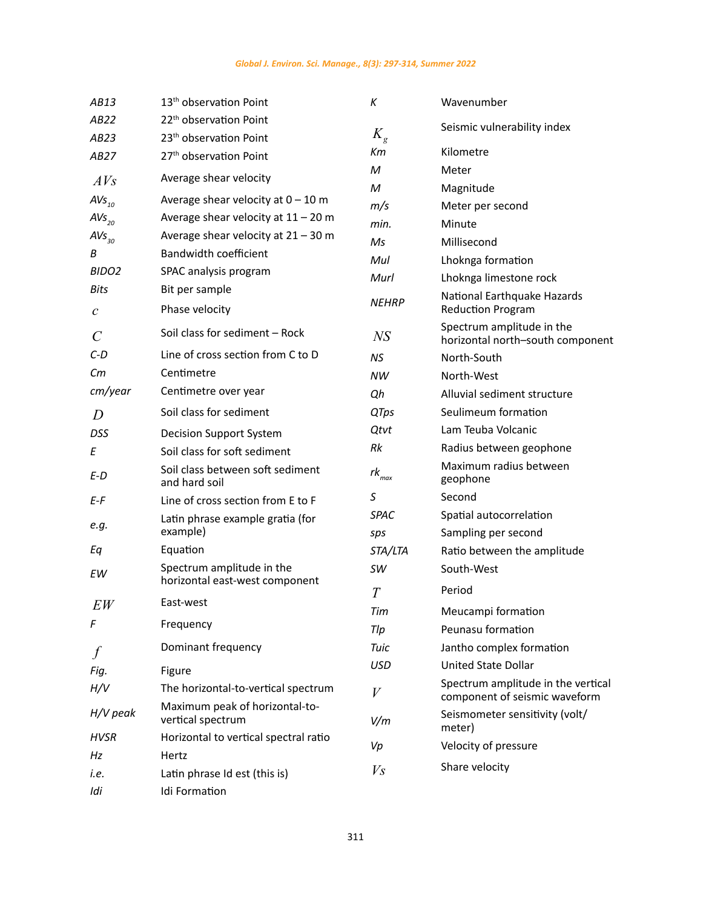| AB13                    | 13 <sup>th</sup> observation Point                          | К                      | Wavenumber                                                          |  |
|-------------------------|-------------------------------------------------------------|------------------------|---------------------------------------------------------------------|--|
| AB22                    | 22 <sup>th</sup> observation Point                          |                        | Seismic vulnerability index                                         |  |
| AB23                    | 23 <sup>th</sup> observation Point                          | $K_{\rm g}$            |                                                                     |  |
| AB27                    | 27 <sup>th</sup> observation Point                          | Кm                     | Kilometre                                                           |  |
| AVs                     | Average shear velocity                                      | М                      | Meter                                                               |  |
| $AVs_{10}$              | Average shear velocity at $0 - 10$ m                        | М                      | Magnitude                                                           |  |
| $AVs_{20}$              | Average shear velocity at $11 - 20$ m                       | m/s                    | Meter per second                                                    |  |
| $AVs_{30}$              | Average shear velocity at $21 - 30$ m                       | min.                   | Minute                                                              |  |
| В                       | Bandwidth coefficient                                       | Ms                     | Millisecond                                                         |  |
| BIDO <sub>2</sub>       | SPAC analysis program                                       | Mul                    | Lhoknga formation                                                   |  |
| Bits                    | Bit per sample                                              | Murl                   | Lhoknga limestone rock                                              |  |
| $\mathcal C$            | Phase velocity                                              | <b>NEHRP</b>           | National Earthquake Hazards<br><b>Reduction Program</b>             |  |
| $\mathcal{C}_{0}^{(n)}$ | Soil class for sediment - Rock                              | NS                     | Spectrum amplitude in the<br>horizontal north-south component       |  |
| $C-D$                   | Line of cross section from C to D                           | NS                     | North-South                                                         |  |
| Сm                      | Centimetre                                                  | NW                     | North-West                                                          |  |
| cm/year                 | Centimetre over year                                        | Qh                     | Alluvial sediment structure                                         |  |
| D                       | Soil class for sediment<br><b>QTps</b>                      |                        | Seulimeum formation                                                 |  |
| DSS                     | Decision Support System                                     | Qtvt                   | Lam Teuba Volcanic                                                  |  |
| Ε                       | Soil class for soft sediment                                | Rk                     | Radius between geophone                                             |  |
| E-D                     | Soil class between soft sediment<br>and hard soil           | $rk_{_{\textit{max}}}$ | Maximum radius between<br>geophone                                  |  |
| E-F                     | Line of cross section from E to F                           | S                      | Second                                                              |  |
|                         | Latin phrase example gratia (for                            | <b>SPAC</b>            | Spatial autocorrelation                                             |  |
| e.g.                    | example)                                                    | sps                    | Sampling per second                                                 |  |
| Eq                      | Equation                                                    | STA/LTA                | Ratio between the amplitude                                         |  |
| EW                      | Spectrum amplitude in the<br>horizontal east-west component | SW                     | South-West                                                          |  |
|                         | East-west                                                   | T                      | Period                                                              |  |
| EW                      |                                                             | Tim                    | Meucampi formation                                                  |  |
| F                       | Frequency                                                   | Tlp                    | Peunasu formation                                                   |  |
|                         | Dominant frequency                                          | Tuic                   | Jantho complex formation                                            |  |
| Fig.                    | Figure                                                      | <b>USD</b>             | <b>United State Dollar</b>                                          |  |
| H/V                     | The horizontal-to-vertical spectrum                         | V                      | Spectrum amplitude in the vertical<br>component of seismic waveform |  |
| $H/V$ peak              | Maximum peak of horizontal-to-<br>vertical spectrum         | V/m                    | Seismometer sensitivity (volt/<br>meter)                            |  |
| <b>HVSR</b>             | Horizontal to vertical spectral ratio                       | Vp                     | Velocity of pressure                                                |  |
| Hz                      | Hertz                                                       |                        |                                                                     |  |
| i.e.                    | Latin phrase Id est (this is)                               | Vs                     | Share velocity                                                      |  |
| Idi                     | Idi Formation                                               |                        |                                                                     |  |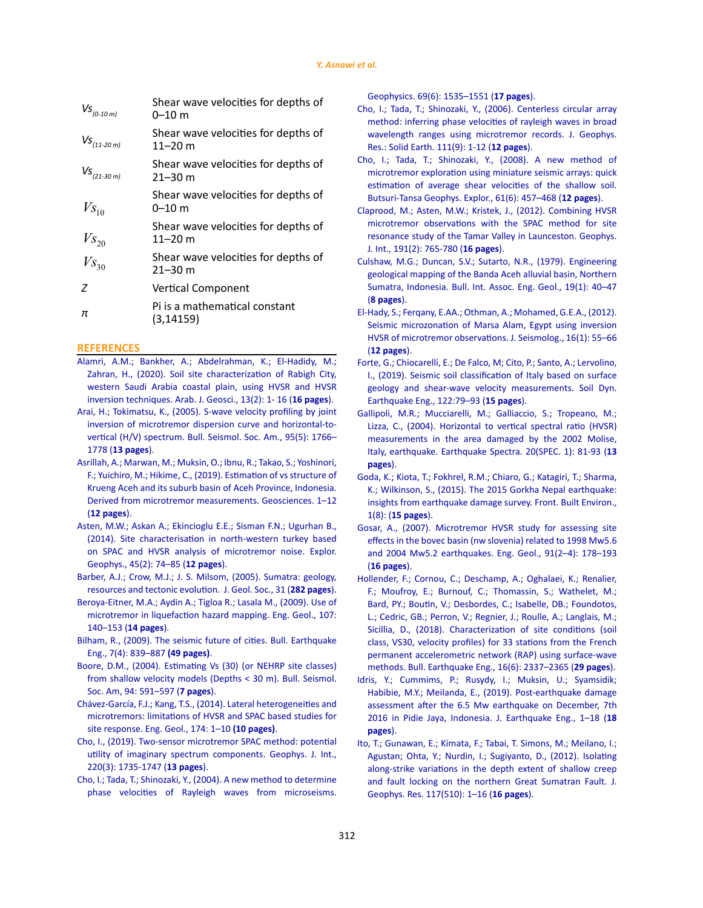| $\mathit{VS}_{_{(0\text{-}10\,m)}}$ | Shear wave velocities for depths of<br>$0 - 10$ m  |
|-------------------------------------|----------------------------------------------------|
| $Vs_{_{(11\text{-}20\,m)}}$         | Shear wave velocities for depths of<br>11–20 m     |
| $Vs$ <sub>(21-30 m)</sub>           | Shear wave velocities for depths of<br>$21 - 30$ m |
| $V_{S_{10}}$                        | Shear wave velocities for depths of<br>0–10 m      |
| $V_{S_{20}}$                        | Shear wave velocities for depths of<br>11–20 m     |
| $V_{S_{30}}$                        | Shear wave velocities for depths of<br>21–30 m     |
| 7                                   | <b>Vertical Component</b>                          |
| π                                   | Pi is a mathematical constant<br>(3, 14159)        |
|                                     |                                                    |

#### **REFERENCES**

- [Alamri, A.M.; Bankher, A.; Abdelrahman, K.; El-Hadidy, M.;](https://link.springer.com/article/10.1007/s12517-019-5027-3)  [Zahran, H., \(2020\). Soil site characterization of Rabigh City,](https://link.springer.com/article/10.1007/s12517-019-5027-3)  [western Saudi Arabia coastal plain, using HVSR and HVSR](https://link.springer.com/article/10.1007/s12517-019-5027-3)  [inversion techniques. Arab. J. Geosci., 13\(2\): 1- 16 \(](https://link.springer.com/article/10.1007/s12517-019-5027-3)**16 pages**).
- [Arai, H.; Tokimatsu, K., \(2005\). S-wave velocity profiling by joint](https://pubs.geoscienceworld.org/ssa/bssa/article-abstract/95/5/1766/103223)  [inversion of microtremor dispersion curve and horizontal-to](https://pubs.geoscienceworld.org/ssa/bssa/article-abstract/95/5/1766/103223)[vertical \(H/V\) spectrum. Bull. Seismol. Soc. Am., 95\(5\): 1766–](https://pubs.geoscienceworld.org/ssa/bssa/article-abstract/95/5/1766/103223) 1778 (**[13 pages](https://pubs.geoscienceworld.org/ssa/bssa/article-abstract/95/5/1766/103223)**).
- [Asrillah, A.; Marwan, M.; Muksin, O.; Ibnu, R.; Takao, S.; Yoshinori,](https://www.mdpi.com/2076-3263/9/4/186)  [F.; Yuichiro, M.; Hikime, C., \(2019\). Estimation of vs structure of](https://www.mdpi.com/2076-3263/9/4/186)  [Krueng Aceh and its suburb basin of Aceh Province, Indonesia.](https://www.mdpi.com/2076-3263/9/4/186)  [Derived from microtremor measurements. Geosciences. 1–12](https://www.mdpi.com/2076-3263/9/4/186)  (**[12 pages](https://www.mdpi.com/2076-3263/9/4/186)**).
- [Asten, M.W.; Askan A.; Ekincioglu E.E.; Sisman F.N.; Ugurhan B.,](https://www.tandfonline.com/doi/abs/10.1071/EG12026)  [\(2014\). Site characterisation in north-western turkey based](https://www.tandfonline.com/doi/abs/10.1071/EG12026)  [on SPAC and HVSR analysis of microtremor noise. Explor.](https://www.tandfonline.com/doi/abs/10.1071/EG12026)  [Geophys., 45\(2\): 74–85 \(](https://www.tandfonline.com/doi/abs/10.1071/EG12026)**12 pages**).
- [Barber, A.J.; Crow, M.J.; J. S. Milsom, \(2005\). Sumatra: geology,](https://pubs.geoscienceworld.org/gsl/books/book/1539/chapter/107263722/Tectonic-Evolution)  [resources and tectonic evolution. J. Geol. Soc., 31 \(](https://pubs.geoscienceworld.org/gsl/books/book/1539/chapter/107263722/Tectonic-Evolution)**282 pages**).
- [Beroya-Eitner, M.A.; Aydin A.; Tigloa R.; Lasala M., \(2009\). Use of](https://www.sciencedirect.com/science/article/pii/S0013795209001422)  [microtremor in liquefaction hazard mapping. Eng. Geol., 107:](https://www.sciencedirect.com/science/article/pii/S0013795209001422)  [140–153 \(](https://www.sciencedirect.com/science/article/pii/S0013795209001422)**14 pages**).
- Bilham, R., (2009). The seismic future of cities. Bull. Earthquake Eng., 7(4): 839–887 **(49 pages)**.
- [Boore, D.M., \(2004\). Estimating Vs \(30\) \(or NEHRP site classes\)](https://pubs.geoscienceworld.org/bssa/article-lookup/94/2/591)  [from shallow velocity models \(Depths < 30 m\). Bull. Seismol.](https://pubs.geoscienceworld.org/bssa/article-lookup/94/2/591)  [Soc. Am, 94: 591–597 \(](https://pubs.geoscienceworld.org/bssa/article-lookup/94/2/591)**7 pages**).
- [Chávez-García, F.J.; Kang, T.S., \(2014\). Lateral heterogeneities and](https://www.sciencedirect.com/science/article/pii/S001379521400043X)  [microtremors: limitations of HVSR and SPAC based studies for](https://www.sciencedirect.com/science/article/pii/S001379521400043X)  [site response. Eng. Geol., 174: 1–10](https://www.sciencedirect.com/science/article/pii/S001379521400043X) **(10 pages)**.
- [Cho, I., \(2019\). Two-sensor microtremor SPAC method: potential](https://academic.oup.com/gji/article-abstract/220/3/1735/5587735)  [utility of imaginary spectrum components. Geophys. J. Int.,](https://academic.oup.com/gji/article-abstract/220/3/1735/5587735)  [220\(3\): 1735-1747 \(](https://academic.oup.com/gji/article-abstract/220/3/1735/5587735)**13 pages**).
- [Cho, I.; Tada, T.; Shinozaki, Y., \(2004\). A new method to determine](https://library.seg.org/doi/abs/10.1190/1.1836827)  [phase velocities of Rayleigh waves from microseisms.](https://library.seg.org/doi/abs/10.1190/1.1836827)

[Geophysics. 69\(6\): 1535–1551 \(](https://library.seg.org/doi/abs/10.1190/1.1836827)**17 pages**).

- [Cho, I.; Tada, T.; Shinozaki, Y., \(2006\). Centerless circular array](https://agupubs.onlinelibrary.wiley.com/doi/abs/10.1029/2005JB004235) [method: inferring phase velocities of rayleigh waves in broad](https://agupubs.onlinelibrary.wiley.com/doi/abs/10.1029/2005JB004235) [wavelength ranges using microtremor records. J. Geophys.](https://agupubs.onlinelibrary.wiley.com/doi/abs/10.1029/2005JB004235) [Res.: Solid Earth. 111\(9\): 1-12 \(](https://agupubs.onlinelibrary.wiley.com/doi/abs/10.1029/2005JB004235)**12 pages**).
- [Cho, I.; Tada, T.; Shinozaki, Y., \(2008\). A new method of](https://staff.aist.go.jp/ikuo-chou/ronbun/Cho_et_al2008SEGJ.pdf) [microtremor exploration using miniature seismic arrays: quick](https://staff.aist.go.jp/ikuo-chou/ronbun/Cho_et_al2008SEGJ.pdf) [estimation of average shear velocities of the shallow soil.](https://staff.aist.go.jp/ikuo-chou/ronbun/Cho_et_al2008SEGJ.pdf) [Butsuri-Tansa Geophys. Explor., 61\(6\): 457–468 \(](https://staff.aist.go.jp/ikuo-chou/ronbun/Cho_et_al2008SEGJ.pdf)**12 pages**).
- [Claprood, M.; Asten, M.W.; Kristek, J., \(2012\). Combining HVSR](https://academic.oup.com/gji/article-abstract/191/2/765/645033) [microtremor observations with the SPAC method for site](https://academic.oup.com/gji/article-abstract/191/2/765/645033) [resonance study of the Tamar Valley in Launceston. Geophys.](https://academic.oup.com/gji/article-abstract/191/2/765/645033) [J. Int., 191\(2\): 765-780 \(](https://academic.oup.com/gji/article-abstract/191/2/765/645033)**16 pages**).
- [Culshaw, M.G.; Duncan, S.V.; Sutarto, N.R., \(1979\). Engineering](https://link.springer.com/article/10.1007/BF02600445) [geological mapping of the Banda Aceh alluvial basin, Northern](https://link.springer.com/article/10.1007/BF02600445) [Sumatra, Indonesia. Bull. Int. Assoc. Eng. Geol., 19\(1\): 40–47](https://link.springer.com/article/10.1007/BF02600445) (**[8 pages](https://link.springer.com/article/10.1007/BF02600445)**).
- [El-Hady, S.; Ferqany, E.AA.; Othman, A.; Mohamed, G.E.A., \(2012\).](https://link.springer.com/article/10.1007/s10950-011-9249-4) [Seismic microzonation of Marsa Alam, Egypt using inversion](https://link.springer.com/article/10.1007/s10950-011-9249-4) [HVSR of microtremor observations. J. Seismolog., 16\(1\): 55–66](https://link.springer.com/article/10.1007/s10950-011-9249-4) (**[12 pages](https://link.springer.com/article/10.1007/s10950-011-9249-4)**).
- [Forte, G.; Chiocarelli, E.; De Falco, M; Cito, P.; Santo, A.; Lervolino,](https://www.sciencedirect.com/science/article/pii/S0267726118311114) [I., \(2019\). Seismic soil classification of Italy based on surface](https://www.sciencedirect.com/science/article/pii/S0267726118311114) [geology and shear-wave velocity measurements. Soil Dyn.](https://www.sciencedirect.com/science/article/pii/S0267726118311114) [Earthquake Eng., 122:79–93 \(](https://www.sciencedirect.com/science/article/pii/S0267726118311114)**15 pages**).
- [Gallipoli, M.R.; Mucciarelli, M.; Galliaccio, S.; Tropeano, M.;](https://journals.sagepub.com/doi/abs/10.1193/1.1766306) [Lizza, C., \(2004\). Horizontal to vertical spectral ratio \(HVSR\)](https://journals.sagepub.com/doi/abs/10.1193/1.1766306) [measurements in the area damaged by the 2002 Molise,](https://journals.sagepub.com/doi/abs/10.1193/1.1766306) [Italy, earthquake. Earthquake Spectra. 20\(SPEC. 1\): 81-93 \(](https://journals.sagepub.com/doi/abs/10.1193/1.1766306)**13 [pages](https://journals.sagepub.com/doi/abs/10.1193/1.1766306)**).
- [Goda, K.; Kiota, T.; Fokhrel, R.M.; Chiaro, G.; Katagiri, T.; Sharma,](https://www.frontiersin.org/articles/10.3389/fbuil.2015.00008/full) [K.; Wilkinson, S., \(2015\). The 2015 Gorkha Nepal earthquake:](https://www.frontiersin.org/articles/10.3389/fbuil.2015.00008/full) [insights from earthquake damage survey. Front. Built Environ.,](https://www.frontiersin.org/articles/10.3389/fbuil.2015.00008/full) 1(8): (**[15 pages](https://www.frontiersin.org/articles/10.3389/fbuil.2015.00008/full)**).
- [Gosar, A., \(2007\). Microtremor HVSR study for assessing site](https://www.sciencedirect.com/science/article/pii/S0013795207000282) [effects in the bovec basin \(nw slovenia\) related to 1998 Mw5.6](https://www.sciencedirect.com/science/article/pii/S0013795207000282) [and 2004 Mw5.2 earthquakes. Eng. Geol., 91\(2–4\): 178–193](https://www.sciencedirect.com/science/article/pii/S0013795207000282) (**[16 pages](https://www.sciencedirect.com/science/article/pii/S0013795207000282)**).
- [Hollender, F.; Cornou, C.; Deschamp, A.; Oghalaei, K.; Renalier,](https://link.springer.com/article/10.1007/s10518-017-0135-5) [F.; Moufroy, E.; Burnouf, C.; Thomassin, S.; Wathelet, M.;](https://link.springer.com/article/10.1007/s10518-017-0135-5) [Bard, PY.; Boutin, V.; Desbordes, C.; Isabelle, DB.; Foundotos,](https://link.springer.com/article/10.1007/s10518-017-0135-5) [L.; Cedric, GB.; Perron, V.; Regnier, J.; Roulle, A.; Langlais, M.;](https://link.springer.com/article/10.1007/s10518-017-0135-5) [Sicillia, D., \(2018\). Characterization of site conditions \(soil](https://link.springer.com/article/10.1007/s10518-017-0135-5) [class, VS30, velocity profiles\) for 33 stations from the French](https://link.springer.com/article/10.1007/s10518-017-0135-5) [permanent accelerometric network \(RAP\) using surface-wave](https://link.springer.com/article/10.1007/s10518-017-0135-5) [methods. Bull. Earthquake Eng., 16\(6\): 2337–2365 \(](https://link.springer.com/article/10.1007/s10518-017-0135-5)**29 pages**).
- [Idris, Y.; Cummims, P.; Rusydy, I.; Muksin, U.; Syamsidik;](https://www.tandfonline.com/doi/abs/10.1080/13632469.2019.1689868) [Habibie, M.Y.; Meilanda, E., \(2019\). Post-earthquake damage](https://www.tandfonline.com/doi/abs/10.1080/13632469.2019.1689868) [assessment after the 6.5 Mw earthquake on December, 7th](https://www.tandfonline.com/doi/abs/10.1080/13632469.2019.1689868) [2016 in Pidie Jaya, Indonesia. J. Earthquake Eng., 1–18 \(](https://www.tandfonline.com/doi/abs/10.1080/13632469.2019.1689868)**18 [pages](https://www.tandfonline.com/doi/abs/10.1080/13632469.2019.1689868)**).
- [Ito, T.; Gunawan, E.; Kimata, F.; Tabai, T. Simons, M.; Meilano, I.;](https://agupubs.onlinelibrary.wiley.com/doi/full/10.1029/2011JB008940) [Agustan; Ohta, Y.; Nurdin, I.; Sugiyanto, D., \(2012\). Isolating](https://agupubs.onlinelibrary.wiley.com/doi/full/10.1029/2011JB008940) [along-strike variations in the depth extent of shallow creep](https://agupubs.onlinelibrary.wiley.com/doi/full/10.1029/2011JB008940) [and fault locking on the northern Great Sumatran Fault. J.](https://agupubs.onlinelibrary.wiley.com/doi/full/10.1029/2011JB008940) [Geophys. Res. 117\(510\): 1–16 \(](https://agupubs.onlinelibrary.wiley.com/doi/full/10.1029/2011JB008940)**16 pages**).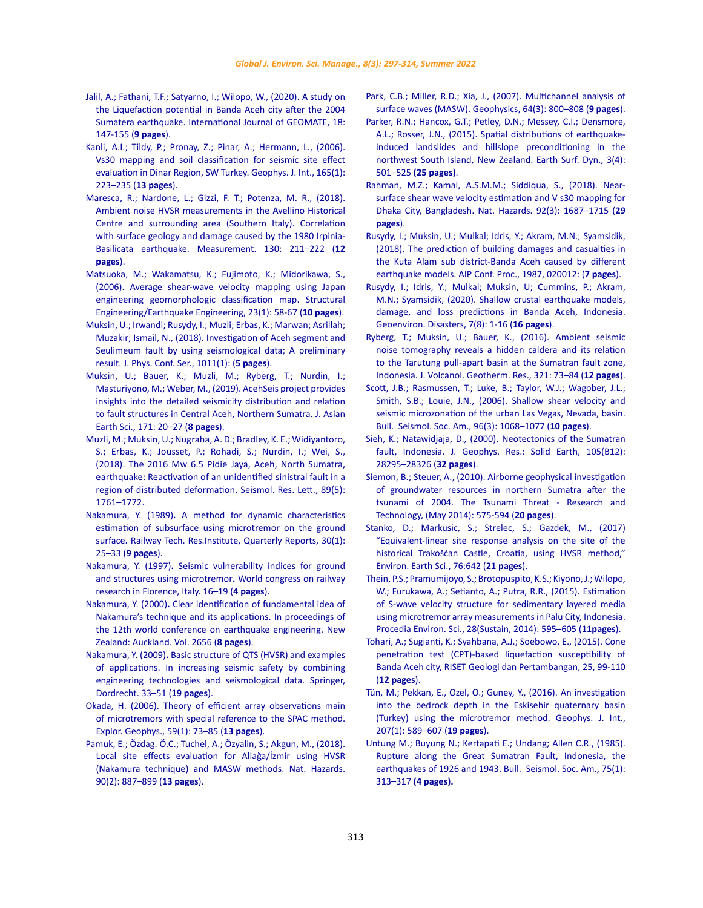- [Jalil, A.; Fathani, T.F.; Satyarno, I.; Wilopo, W., \(2020\). A study on](https://www.researchgate.net/profile/Abdul-Jalil-3/publication/339616939)  [the Liquefaction potential in Banda Aceh city after the 2004](https://www.researchgate.net/profile/Abdul-Jalil-3/publication/339616939)  Sumatera earthquake. International Journal of GEOMATE, 18: [147-155 \(](https://www.researchgate.net/profile/Abdul-Jalil-3/publication/339616939)**9 pages**).
- [Kanli, A.I.; Tildy, P.; Pronay, Z.; Pinar, A.; Hermann, L., \(2006\).](https://academic.oup.com/gji/article-abstract/165/1/223/786582)  [Vs30 mapping and soil classification for seismic site effect](https://academic.oup.com/gji/article-abstract/165/1/223/786582)  [evaluation in Dinar Region, SW Turkey. Geophys. J. Int., 165\(1\):](https://academic.oup.com/gji/article-abstract/165/1/223/786582)  [223–235 \(](https://academic.oup.com/gji/article-abstract/165/1/223/786582)**13 pages**).
- [Maresca, R.; Nardone, L.; Gizzi, F. T.; Potenza, M. R., \(2018\).](https://ui.adsabs.harvard.edu/abs/2018Meas..130..211M/abstract)  [Ambient noise HVSR measurements in the Avellino Historical](https://ui.adsabs.harvard.edu/abs/2018Meas..130..211M/abstract)  [Centre and surrounding area \(Southern Italy\). Correlation](https://ui.adsabs.harvard.edu/abs/2018Meas..130..211M/abstract)  [with surface geology and damage caused by the 1980 Irpinia-](https://ui.adsabs.harvard.edu/abs/2018Meas..130..211M/abstract)[Basilicata earthquake. Measurement. 130: 211–222 \(](https://ui.adsabs.harvard.edu/abs/2018Meas..130..211M/abstract)**12 [pages](https://ui.adsabs.harvard.edu/abs/2018Meas..130..211M/abstract)**).
- [Matsuoka, M.; Wakamatsu, K.; Fujimoto, K.; Midorikawa, S.,](https://www.jstage.jst.go.jp/article/jsceseee/23/1/23_1_57s/_article/-char/ja)  [\(2006\). Average shear-wave velocity mapping using Japan](https://www.jstage.jst.go.jp/article/jsceseee/23/1/23_1_57s/_article/-char/ja)  [engineering geomorphologic classification map. Structural](https://www.jstage.jst.go.jp/article/jsceseee/23/1/23_1_57s/_article/-char/ja)  [Engineering/Earthquake Engineering, 23\(1\): 58-67 \(](https://www.jstage.jst.go.jp/article/jsceseee/23/1/23_1_57s/_article/-char/ja)**10 pages**).
- [Muksin, U.; Irwandi; Rusydy, I.; Muzli; Erbas, K.; Marwan; Asrillah;](https://iopscience.iop.org/article/10.1088/1742-6596/1011/1/012031/meta)  [Muzakir; Ismail, N., \(2018\). Investigation of Aceh segment and](https://iopscience.iop.org/article/10.1088/1742-6596/1011/1/012031/meta)  [Seulimeum fault by using seismological data; A preliminary](https://iopscience.iop.org/article/10.1088/1742-6596/1011/1/012031/meta)  [result. J. Phys. Conf. Ser., 1011\(1\): \(](https://iopscience.iop.org/article/10.1088/1742-6596/1011/1/012031/meta)**5 pages**).
- [Muksin, U.; Bauer, K.; Muzli, M.; Ryberg, T.; Nurdin, I.;](https://www.semanticscholar.org/paper/AcehSeis-project-provides-insights-into-the-and-to-Muksin-Bauer/e50f9ad64ba93b603e7decb2ff87b0f55f3844c6)  [Masturiyono, M.; Weber, M., \(2019\). AcehSeis project provides](https://www.semanticscholar.org/paper/AcehSeis-project-provides-insights-into-the-and-to-Muksin-Bauer/e50f9ad64ba93b603e7decb2ff87b0f55f3844c6)  [insights into the detailed seismicity distribution and relation](https://www.semanticscholar.org/paper/AcehSeis-project-provides-insights-into-the-and-to-Muksin-Bauer/e50f9ad64ba93b603e7decb2ff87b0f55f3844c6)  [to fault structures in Central Aceh, Northern Sumatra. J. Asian](https://www.semanticscholar.org/paper/AcehSeis-project-provides-insights-into-the-and-to-Muksin-Bauer/e50f9ad64ba93b603e7decb2ff87b0f55f3844c6)  [Earth Sci., 171: 20–27 \(](https://www.semanticscholar.org/paper/AcehSeis-project-provides-insights-into-the-and-to-Muksin-Bauer/e50f9ad64ba93b603e7decb2ff87b0f55f3844c6)**8 pages**).
- [Muzli, M.; Muksin, U.; Nugraha, A. D.; Bradley, K. E.; Widiyantoro,](https://gfzpublic.gfz-potsdam.de/pubman/faces/ViewItemOverviewPage.jsp?itemId=item_3742928_3)  [S.; Erbas, K.; Jousset, P.; Rohadi, S.; Nurdin, I.; Wei, S.,](https://gfzpublic.gfz-potsdam.de/pubman/faces/ViewItemOverviewPage.jsp?itemId=item_3742928_3)  [\(2018\). The 2016 Mw 6.5 Pidie Jaya, Aceh, North Sumatra,](https://gfzpublic.gfz-potsdam.de/pubman/faces/ViewItemOverviewPage.jsp?itemId=item_3742928_3)  [earthquake: Reactivation of an unidentified sinistral fault in a](https://gfzpublic.gfz-potsdam.de/pubman/faces/ViewItemOverviewPage.jsp?itemId=item_3742928_3)  [region of distributed deformation. Seismol. Res. Lett., 89\(5\):](https://gfzpublic.gfz-potsdam.de/pubman/faces/ViewItemOverviewPage.jsp?itemId=item_3742928_3)  [1761–1772.](https://gfzpublic.gfz-potsdam.de/pubman/faces/ViewItemOverviewPage.jsp?itemId=item_3742928_3)
- Nakamura, Y. (1989)**.** [A method for dynamic characteristics](https://trid.trb.org/view/294184)  [estimation of subsurface using microtremor on the ground](https://trid.trb.org/view/294184)  surface**.** [Railway Tech. Res.Institute, Quarterly Reports,](https://trid.trb.org/view/294184) 30(1): 25–33 (**[9 pages](https://trid.trb.org/view/294184)**).
- Nakamura, Y. (1997)**.** [Seismic vulnerability indices for ground](https://scholar.google.com/scholar?hl=en&as_sdt=0%2C5&q=Seismic+Vulnerability+Indices+for+Ground+and+Structures+Using+Microtremor&btnG=)  [and structures using microtremor](https://scholar.google.com/scholar?hl=en&as_sdt=0%2C5&q=Seismic+Vulnerability+Indices+for+Ground+and+Structures+Using+Microtremor&btnG=)**.** World congress on railway [research in Florence, Italy. 16–19 \(](https://scholar.google.com/scholar?hl=en&as_sdt=0%2C5&q=Seismic+Vulnerability+Indices+for+Ground+and+Structures+Using+Microtremor&btnG=)**4 pages**).
- Nakamura, Y. (2000)**.** [Clear identification of fundamental idea of](https://www.iitk.ac.in/nicee/wcee/article/2656.pdf)  [Nakamura's technique and its applications. In](https://www.iitk.ac.in/nicee/wcee/article/2656.pdf) proceedings of the 12th world conference on earthquake engineering. New [Zealand: Auckland. Vol. 2656 \(](https://www.iitk.ac.in/nicee/wcee/article/2656.pdf)**8 pages**).
- Nakamura, Y. (2009)**.** [Basic structure of QTS \(HVSR\) and examples](https://link.springer.com/chapter/10.1007/978-1-4020-9196-4_4)  of applications. In [increasing seismic safety by combining](https://link.springer.com/chapter/10.1007/978-1-4020-9196-4_4)  [engineering technologies and seismological data. Springer,](https://link.springer.com/chapter/10.1007/978-1-4020-9196-4_4)  [Dordrecht. 33–51 \(](https://link.springer.com/chapter/10.1007/978-1-4020-9196-4_4)**19 pages**).
- [Okada, H. \(2006\). Theory of efficient array observations main](https://www.tandfonline.com/doi/abs/10.1071/EG06073)  [of microtremors with special reference to the SPAC method.](https://www.tandfonline.com/doi/abs/10.1071/EG06073)  [Explor. Geophys., 59\(1\): 73–85 \(](https://www.tandfonline.com/doi/abs/10.1071/EG06073)**13 pages**).
- [Pamuk, E.; Özdag. Ö.C.; Tuchel, A.; Özyalin, S.; Akgun, M., \(2018\).](https://link.springer.com/article/10.1007/s11069-017-3077-y)  [Local site effects evaluation for Aliağa/İzmir using HVSR](https://link.springer.com/article/10.1007/s11069-017-3077-y)  [\(Nakamura technique\) and MASW methods. Nat. Hazards.](https://link.springer.com/article/10.1007/s11069-017-3077-y)  [90\(2\): 887–899 \(](https://link.springer.com/article/10.1007/s11069-017-3077-y)**13 pages**).
- [Park, C.B.; Miller, R.D.; Xia, J., \(2007\). Multichannel analysis of](https://library.seg.org/doi/abs/10.1190/1.1444590) [surface waves \(MASW\). Geophysics, 64\(3\): 800–808 \(](https://library.seg.org/doi/abs/10.1190/1.1444590)**9 pages**).
- [Parker, R.N.; Hancox, G.T.; Petley, D.N.; Messey, C.I.; Densmore,](https://esurf.copernicus.org/articles/3/501/2015/) [A.L.; Rosser, J.N., \(2015\). Spatial distributions of earthquake](https://esurf.copernicus.org/articles/3/501/2015/)[induced landslides and hillslope preconditioning in the](https://esurf.copernicus.org/articles/3/501/2015/) [northwest South Island, New Zealand. Earth Surf. Dyn., 3\(4\):](https://esurf.copernicus.org/articles/3/501/2015/) 501–525 **[\(25 pages\)](https://esurf.copernicus.org/articles/3/501/2015/)**.
- [Rahman, M.Z.; Kamal, A.S.M.M.; Siddiqua, S., \(2018\). Near](https://link.springer.com/article/10.1007/s11069-018-3266-3)[surface shear wave velocity estimation and V s30 mapping for](https://link.springer.com/article/10.1007/s11069-018-3266-3) [Dhaka City, Bangladesh. Nat. Hazards. 92\(3\): 1687–1715 \(](https://link.springer.com/article/10.1007/s11069-018-3266-3)**29 [pages](https://link.springer.com/article/10.1007/s11069-018-3266-3)**).
- [Rusydy, I.; Muksin, U.; Mulkal; Idris, Y.; Akram, M.N.; Syamsidik,](https://aip.scitation.org/doi/abs/10.1063/1.5047297) [\(2018\). The prediction of building damages and casualties in](https://aip.scitation.org/doi/abs/10.1063/1.5047297) [the Kuta Alam sub district-Banda Aceh caused by different](https://aip.scitation.org/doi/abs/10.1063/1.5047297) [earthquake models. AIP Conf. Proc., 1987, 020012: \(](https://aip.scitation.org/doi/abs/10.1063/1.5047297)**7 pages**).
- [Rusydy, I.; Idris, Y.; Mulkal; Muksin, U; Cummins, P.; Akram,](https://link.springer.com/article/10.1186/s40677-020-0145-5) [M.N.; Syamsidik, \(2020\). Shallow crustal earthquake models,](https://link.springer.com/article/10.1186/s40677-020-0145-5) [damage, and loss predictions in Banda Aceh, Indonesia.](https://link.springer.com/article/10.1186/s40677-020-0145-5) [Geoenviron. Disasters, 7\(8\): 1-16 \(](https://link.springer.com/article/10.1186/s40677-020-0145-5)**16 pages**).
- [Ryberg, T.; Muksin, U.; Bauer, K., \(2016\). Ambient seismic](https://www.sciencedirect.com/science/article/pii/S0377027316300774) [noise tomography reveals a hidden caldera and its relation](https://www.sciencedirect.com/science/article/pii/S0377027316300774) [to the Tarutung pull-apart basin at the Sumatran fault zone,](https://www.sciencedirect.com/science/article/pii/S0377027316300774) [Indonesia. J. Volcanol. Geotherm. Res., 321: 73–84 \(](https://www.sciencedirect.com/science/article/pii/S0377027316300774)**12 pages**).
- [Scott, J.B.; Rasmussen, T.; Luke, B.; Taylor, W.J.; Wagober, J.L.;](https://pubs.geoscienceworld.org/ssa/bssa/article-abstract/96/3/1068/146729) [Smith, S.B.; Louie, J.N., \(2006\). Shallow shear velocity and](https://pubs.geoscienceworld.org/ssa/bssa/article-abstract/96/3/1068/146729) [seismic microzonation of the urban Las Vegas, Nevada, basin.](https://pubs.geoscienceworld.org/ssa/bssa/article-abstract/96/3/1068/146729) [Bull. Seismol. Soc. Am., 96\(3\): 1068–1077 \(](https://pubs.geoscienceworld.org/ssa/bssa/article-abstract/96/3/1068/146729)**10 pages**).
- [Sieh, K.; Natawidjaja, D., \(2000\). Neotectonics of the Sumatran](https://agupubs.onlinelibrary.wiley.com/doi/abs/10.1029/2000JB900120) [fault, Indonesia. J. Geophys. Res.: Solid Earth, 105\(B12\):](https://agupubs.onlinelibrary.wiley.com/doi/abs/10.1029/2000JB900120) [28295–28326 \(](https://agupubs.onlinelibrary.wiley.com/doi/abs/10.1029/2000JB900120)**32 pages**).
- [Siemon, B.; Steuer, A., \(2010\). Airborne geophysical investigation](https://www.academia.edu/download/46312332/Airborne_Geophysical_Investigation_of_Gr20160607-1326-6afoyf.pdf) [of groundwater resources in northern Sumatra after the](https://www.academia.edu/download/46312332/Airborne_Geophysical_Investigation_of_Gr20160607-1326-6afoyf.pdf) [tsunami of 2004. The Tsunami Threat - Research and](https://www.academia.edu/download/46312332/Airborne_Geophysical_Investigation_of_Gr20160607-1326-6afoyf.pdf) [Technology, \(May 2014\): 575-594 \(](https://www.academia.edu/download/46312332/Airborne_Geophysical_Investigation_of_Gr20160607-1326-6afoyf.pdf)**20 pages**).
- Stanko, D.; Markusic, S.; Strelec, S.; Gazdek, M., (2017) "Equivalent-linear site response analysis on the site of the historical Trakošćan Castle, Croatia, using HVSR method," Environ. Earth Sci., 76:642 (**21 pages**).
- [Thein, P.S.; Pramumijoyo, S.; Brotopuspito, K.S.; Kiyono, J.; Wilopo,](https://cyberleninka.org/article/n/614796) [W.; Furukawa, A.; Setianto, A.; Putra, R.R., \(2015\). Estimation](https://cyberleninka.org/article/n/614796) [of S-wave velocity structure for sedimentary layered media](https://cyberleninka.org/article/n/614796) [using microtremor array measurements in Palu City, Indonesia.](https://cyberleninka.org/article/n/614796) [Procedia Environ. Sci., 28\(Sustain, 2014\): 595–605 \(](https://cyberleninka.org/article/n/614796)**11pages**).
- [Tohari, A.; Sugianti, K.; Syahbana, A.J.; Soebowo, E., \(2015\). Cone](https://publons.com/publon/13175129/) [penetration test \(CPT\)-based liquefaction susceptibility of](https://publons.com/publon/13175129/) [Banda Aceh city, RISET Geologi dan Pertambangan, 25, 99-110](https://publons.com/publon/13175129/) (**[12 pages](https://publons.com/publon/13175129/)**).
- [Tün, M.; Pekkan, E., Ozel, O.; Guney, Y., \(2016\). An investigation](https://academic.oup.com/gji/article-abstract/207/1/589/2583618) [into the bedrock depth in the Eskisehir quaternary basin](https://academic.oup.com/gji/article-abstract/207/1/589/2583618) [\(Turkey\) using the microtremor method. Geophys. J. Int.,](https://academic.oup.com/gji/article-abstract/207/1/589/2583618) [207\(1\): 589–607 \(](https://academic.oup.com/gji/article-abstract/207/1/589/2583618)**19 pages**).
- [Untung M.; Buyung N.; Kertapati E.; Undang; Allen C.R., \(1985\).](https://pubs.geoscienceworld.org/ssa/bssa/article-abstract/75/1/313/118692/Rupture-along-the-Great-Sumatran-fault-Indonesia?redirectedFrom=fulltext) [Rupture along the Great Sumatran Fault, Indonesia, the](https://pubs.geoscienceworld.org/ssa/bssa/article-abstract/75/1/313/118692/Rupture-along-the-Great-Sumatran-fault-Indonesia?redirectedFrom=fulltext) [earthquakes of 1926 and 1943. Bull. Seismol. Soc. Am., 75\(1\):](https://pubs.geoscienceworld.org/ssa/bssa/article-abstract/75/1/313/118692/Rupture-along-the-Great-Sumatran-fault-Indonesia?redirectedFrom=fulltext) 313–317 **[\(4 pages\).](https://pubs.geoscienceworld.org/ssa/bssa/article-abstract/75/1/313/118692/Rupture-along-the-Great-Sumatran-fault-Indonesia?redirectedFrom=fulltext)**